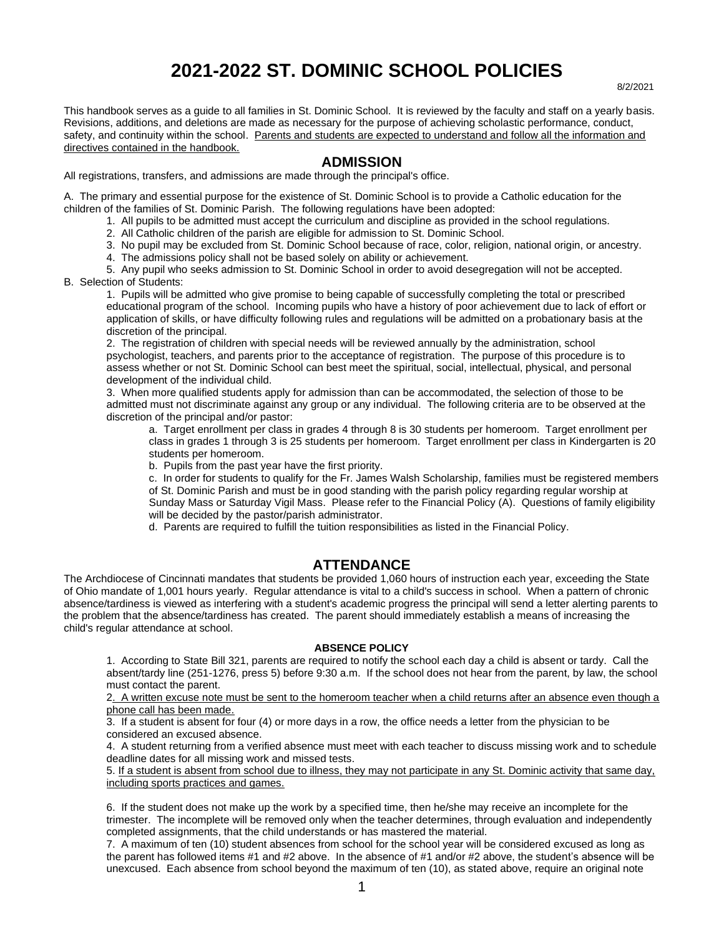# **2021-2022 ST. DOMINIC SCHOOL POLICIES** 8/2/2021

This handbook serves as a guide to all families in St. Dominic School. It is reviewed by the faculty and staff on a yearly basis. Revisions, additions, and deletions are made as necessary for the purpose of achieving scholastic performance, conduct, safety, and continuity within the school. Parents and students are expected to understand and follow all the information and directives contained in the handbook.

# **ADMISSION**

All registrations, transfers, and admissions are made through the principal's office.

A. The primary and essential purpose for the existence of St. Dominic School is to provide a Catholic education for the children of the families of St. Dominic Parish. The following regulations have been adopted:

- 1. All pupils to be admitted must accept the curriculum and discipline as provided in the school regulations.
- 2. All Catholic children of the parish are eligible for admission to St. Dominic School.
- 3. No pupil may be excluded from St. Dominic School because of race, color, religion, national origin, or ancestry.
- 4. The admissions policy shall not be based solely on ability or achievement.

5. Any pupil who seeks admission to St. Dominic School in order to avoid desegregation will not be accepted. B. Selection of Students:

1. Pupils will be admitted who give promise to being capable of successfully completing the total or prescribed educational program of the school. Incoming pupils who have a history of poor achievement due to lack of effort or application of skills, or have difficulty following rules and regulations will be admitted on a probationary basis at the discretion of the principal.

2. The registration of children with special needs will be reviewed annually by the administration, school psychologist, teachers, and parents prior to the acceptance of registration. The purpose of this procedure is to assess whether or not St. Dominic School can best meet the spiritual, social, intellectual, physical, and personal development of the individual child.

3. When more qualified students apply for admission than can be accommodated, the selection of those to be admitted must not discriminate against any group or any individual. The following criteria are to be observed at the discretion of the principal and/or pastor:

a. Target enrollment per class in grades 4 through 8 is 30 students per homeroom. Target enrollment per class in grades 1 through 3 is 25 students per homeroom. Target enrollment per class in Kindergarten is 20 students per homeroom.

b. Pupils from the past year have the first priority.

c. In order for students to qualify for the Fr. James Walsh Scholarship, families must be registered members of St. Dominic Parish and must be in good standing with the parish policy regarding regular worship at Sunday Mass or Saturday Vigil Mass. Please refer to the Financial Policy (A). Questions of family eligibility will be decided by the pastor/parish administrator.

d. Parents are required to fulfill the tuition responsibilities as listed in the Financial Policy.

# **ATTENDANCE**

The Archdiocese of Cincinnati mandates that students be provided 1,060 hours of instruction each year, exceeding the State of Ohio mandate of 1,001 hours yearly. Regular attendance is vital to a child's success in school. When a pattern of chronic absence/tardiness is viewed as interfering with a student's academic progress the principal will send a letter alerting parents to the problem that the absence/tardiness has created. The parent should immediately establish a means of increasing the child's regular attendance at school.

#### **ABSENCE POLICY**

1. According to State Bill 321, parents are required to notify the school each day a child is absent or tardy. Call the absent/tardy line (251-1276, press 5) before 9:30 a.m. If the school does not hear from the parent, by law, the school must contact the parent.

2. A written excuse note must be sent to the homeroom teacher when a child returns after an absence even though a phone call has been made.

3. If a student is absent for four (4) or more days in a row, the office needs a letter from the physician to be considered an excused absence.

4. A student returning from a verified absence must meet with each teacher to discuss missing work and to schedule deadline dates for all missing work and missed tests.

5. If a student is absent from school due to illness, they may not participate in any St. Dominic activity that same day, including sports practices and games.

6. If the student does not make up the work by a specified time, then he/she may receive an incomplete for the trimester. The incomplete will be removed only when the teacher determines, through evaluation and independently completed assignments, that the child understands or has mastered the material.

7. A maximum of ten (10) student absences from school for the school year will be considered excused as long as the parent has followed items #1 and #2 above. In the absence of #1 and/or #2 above, the student's absence will be unexcused. Each absence from school beyond the maximum of ten (10), as stated above, require an original note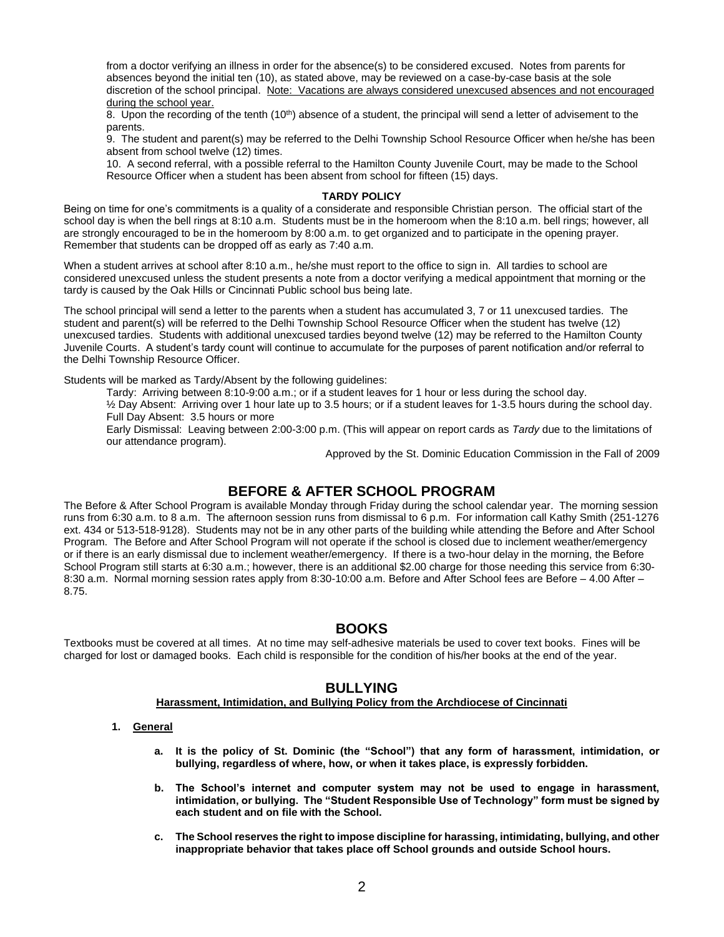from a doctor verifying an illness in order for the absence(s) to be considered excused. Notes from parents for absences beyond the initial ten (10), as stated above, may be reviewed on a case-by-case basis at the sole discretion of the school principal. Note: Vacations are always considered unexcused absences and not encouraged during the school year.

8. Upon the recording of the tenth (10<sup>th</sup>) absence of a student, the principal will send a letter of advisement to the parents.

9. The student and parent(s) may be referred to the Delhi Township School Resource Officer when he/she has been absent from school twelve (12) times.

10. A second referral, with a possible referral to the Hamilton County Juvenile Court, may be made to the School Resource Officer when a student has been absent from school for fifteen (15) days.

#### **TARDY POLICY**

Being on time for one's commitments is a quality of a considerate and responsible Christian person. The official start of the school day is when the bell rings at 8:10 a.m. Students must be in the homeroom when the 8:10 a.m. bell rings; however, all are strongly encouraged to be in the homeroom by 8:00 a.m. to get organized and to participate in the opening prayer. Remember that students can be dropped off as early as 7:40 a.m.

When a student arrives at school after 8:10 a.m., he/she must report to the office to sign in. All tardies to school are considered unexcused unless the student presents a note from a doctor verifying a medical appointment that morning or the tardy is caused by the Oak Hills or Cincinnati Public school bus being late.

The school principal will send a letter to the parents when a student has accumulated 3, 7 or 11 unexcused tardies. The student and parent(s) will be referred to the Delhi Township School Resource Officer when the student has twelve (12) unexcused tardies. Students with additional unexcused tardies beyond twelve (12) may be referred to the Hamilton County Juvenile Courts. A student's tardy count will continue to accumulate for the purposes of parent notification and/or referral to the Delhi Township Resource Officer.

Students will be marked as Tardy/Absent by the following guidelines:

Tardy: Arriving between 8:10-9:00 a.m.; or if a student leaves for 1 hour or less during the school day.

½ Day Absent: Arriving over 1 hour late up to 3.5 hours; or if a student leaves for 1-3.5 hours during the school day. Full Day Absent: 3.5 hours or more

Early Dismissal: Leaving between 2:00-3:00 p.m. (This will appear on report cards as *Tardy* due to the limitations of our attendance program).

Approved by the St. Dominic Education Commission in the Fall of 2009

# **BEFORE & AFTER SCHOOL PROGRAM**

The Before & After School Program is available Monday through Friday during the school calendar year. The morning session runs from 6:30 a.m. to 8 a.m. The afternoon session runs from dismissal to 6 p.m. For information call Kathy Smith (251-1276 ext. 434 or 513-518-9128). Students may not be in any other parts of the building while attending the Before and After School Program. The Before and After School Program will not operate if the school is closed due to inclement weather/emergency or if there is an early dismissal due to inclement weather/emergency. If there is a two-hour delay in the morning, the Before School Program still starts at 6:30 a.m.; however, there is an additional \$2.00 charge for those needing this service from 6:30- 8:30 a.m. Normal morning session rates apply from 8:30-10:00 a.m. Before and After School fees are Before – 4.00 After – 8.75.

### **BOOKS**

Textbooks must be covered at all times. At no time may self-adhesive materials be used to cover text books. Fines will be charged for lost or damaged books. Each child is responsible for the condition of his/her books at the end of the year.

# **BULLYING**

#### **Harassment, Intimidation, and Bullying Policy from the Archdiocese of Cincinnati**

#### **1. General**

- **a. It is the policy of St. Dominic (the "School") that any form of harassment, intimidation, or bullying, regardless of where, how, or when it takes place, is expressly forbidden.**
- **b. The School's internet and computer system may not be used to engage in harassment, intimidation, or bullying. The "Student Responsible Use of Technology" form must be signed by each student and on file with the School.**
- **c. The School reserves the right to impose discipline for harassing, intimidating, bullying, and other inappropriate behavior that takes place off School grounds and outside School hours.**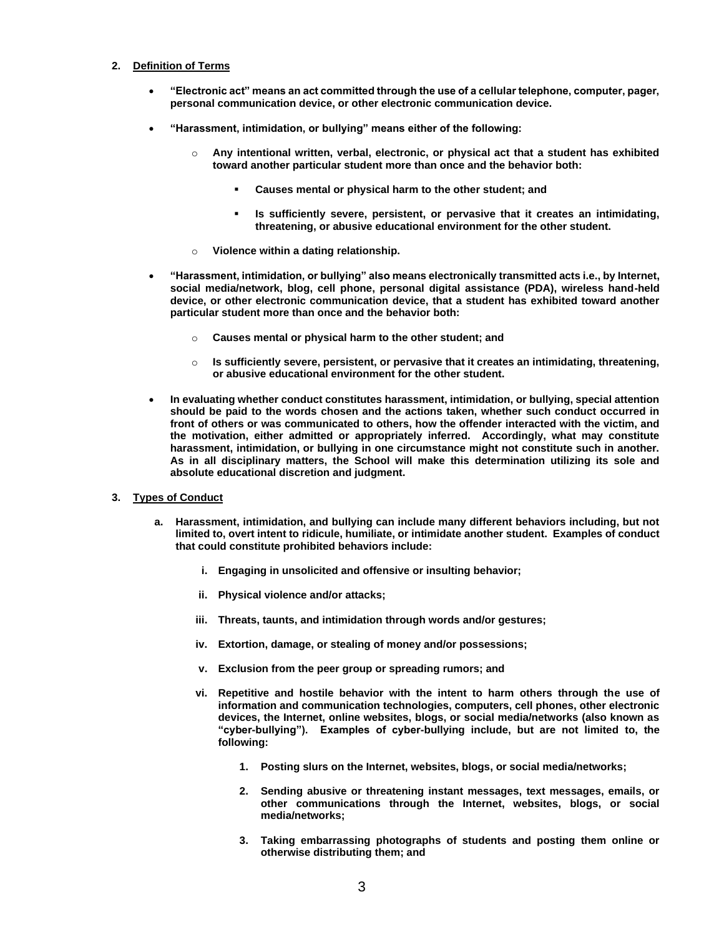#### **2. Definition of Terms**

- **"Electronic act" means an act committed through the use of a cellular telephone, computer, pager, personal communication device, or other electronic communication device.**
- **"Harassment, intimidation, or bullying" means either of the following:**
	- o **Any intentional written, verbal, electronic, or physical act that a student has exhibited toward another particular student more than once and the behavior both:**
		- Causes mental or physical harm to the other student; and
		- Is sufficiently severe, persistent, or pervasive that it creates an intimidating, **threatening, or abusive educational environment for the other student.**
	- o **Violence within a dating relationship.**
- **"Harassment, intimidation, or bullying" also means electronically transmitted acts i.e., by Internet, social media/network, blog, cell phone, personal digital assistance (PDA), wireless hand-held device, or other electronic communication device, that a student has exhibited toward another particular student more than once and the behavior both:**
	- Causes mental or physical harm to the other student; and
	- o **Is sufficiently severe, persistent, or pervasive that it creates an intimidating, threatening, or abusive educational environment for the other student.**
- **In evaluating whether conduct constitutes harassment, intimidation, or bullying, special attention should be paid to the words chosen and the actions taken, whether such conduct occurred in front of others or was communicated to others, how the offender interacted with the victim, and the motivation, either admitted or appropriately inferred. Accordingly, what may constitute harassment, intimidation, or bullying in one circumstance might not constitute such in another. As in all disciplinary matters, the School will make this determination utilizing its sole and absolute educational discretion and judgment.**
- **3. Types of Conduct**
	- **a. Harassment, intimidation, and bullying can include many different behaviors including, but not limited to, overt intent to ridicule, humiliate, or intimidate another student. Examples of conduct that could constitute prohibited behaviors include:**
		- **i. Engaging in unsolicited and offensive or insulting behavior;**
		- **ii. Physical violence and/or attacks;**
		- **iii. Threats, taunts, and intimidation through words and/or gestures;**
		- **iv. Extortion, damage, or stealing of money and/or possessions;**
		- **v. Exclusion from the peer group or spreading rumors; and**
		- **vi. Repetitive and hostile behavior with the intent to harm others through the use of information and communication technologies, computers, cell phones, other electronic devices, the Internet, online websites, blogs, or social media/networks (also known as "cyber-bullying"). Examples of cyber-bullying include, but are not limited to, the following:**
			- **1. Posting slurs on the Internet, websites, blogs, or social media/networks;**
			- **2. Sending abusive or threatening instant messages, text messages, emails, or other communications through the Internet, websites, blogs, or social media/networks;**
			- **3. Taking embarrassing photographs of students and posting them online or otherwise distributing them; and**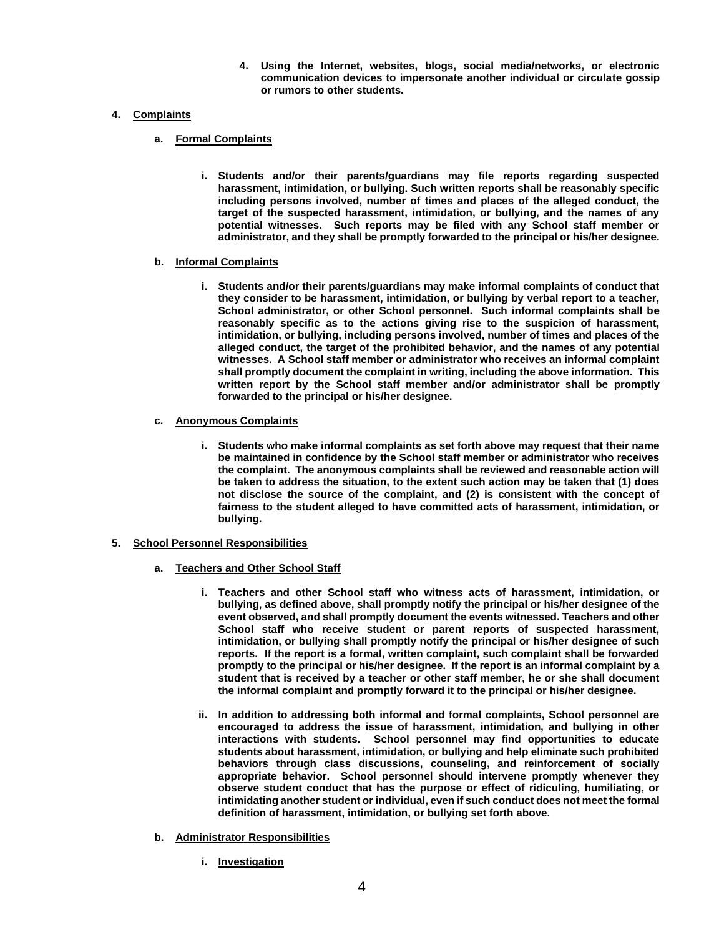**4. Using the Internet, websites, blogs, social media/networks, or electronic communication devices to impersonate another individual or circulate gossip or rumors to other students.** 

### **4. Complaints**

- **a. Formal Complaints**
	- **i. Students and/or their parents/guardians may file reports regarding suspected harassment, intimidation, or bullying. Such written reports shall be reasonably specific including persons involved, number of times and places of the alleged conduct, the target of the suspected harassment, intimidation, or bullying, and the names of any potential witnesses. Such reports may be filed with any School staff member or administrator, and they shall be promptly forwarded to the principal or his/her designee.**

#### **b. Informal Complaints**

- **i. Students and/or their parents/guardians may make informal complaints of conduct that they consider to be harassment, intimidation, or bullying by verbal report to a teacher, School administrator, or other School personnel. Such informal complaints shall be reasonably specific as to the actions giving rise to the suspicion of harassment, intimidation, or bullying, including persons involved, number of times and places of the alleged conduct, the target of the prohibited behavior, and the names of any potential witnesses. A School staff member or administrator who receives an informal complaint shall promptly document the complaint in writing, including the above information. This written report by the School staff member and/or administrator shall be promptly forwarded to the principal or his/her designee.**
- **c. Anonymous Complaints**
	- **i. Students who make informal complaints as set forth above may request that their name be maintained in confidence by the School staff member or administrator who receives the complaint. The anonymous complaints shall be reviewed and reasonable action will be taken to address the situation, to the extent such action may be taken that (1) does not disclose the source of the complaint, and (2) is consistent with the concept of fairness to the student alleged to have committed acts of harassment, intimidation, or bullying.**
- **5. School Personnel Responsibilities**
	- **a. Teachers and Other School Staff**
		- **i. Teachers and other School staff who witness acts of harassment, intimidation, or bullying, as defined above, shall promptly notify the principal or his/her designee of the event observed, and shall promptly document the events witnessed. Teachers and other School staff who receive student or parent reports of suspected harassment, intimidation, or bullying shall promptly notify the principal or his/her designee of such reports. If the report is a formal, written complaint, such complaint shall be forwarded promptly to the principal or his/her designee. If the report is an informal complaint by a student that is received by a teacher or other staff member, he or she shall document the informal complaint and promptly forward it to the principal or his/her designee.**
		- **ii. In addition to addressing both informal and formal complaints, School personnel are encouraged to address the issue of harassment, intimidation, and bullying in other interactions with students. School personnel may find opportunities to educate students about harassment, intimidation, or bullying and help eliminate such prohibited behaviors through class discussions, counseling, and reinforcement of socially appropriate behavior. School personnel should intervene promptly whenever they observe student conduct that has the purpose or effect of ridiculing, humiliating, or intimidating another student or individual, even if such conduct does not meet the formal definition of harassment, intimidation, or bullying set forth above.**
	- **b. Administrator Responsibilities**
		- **i. Investigation**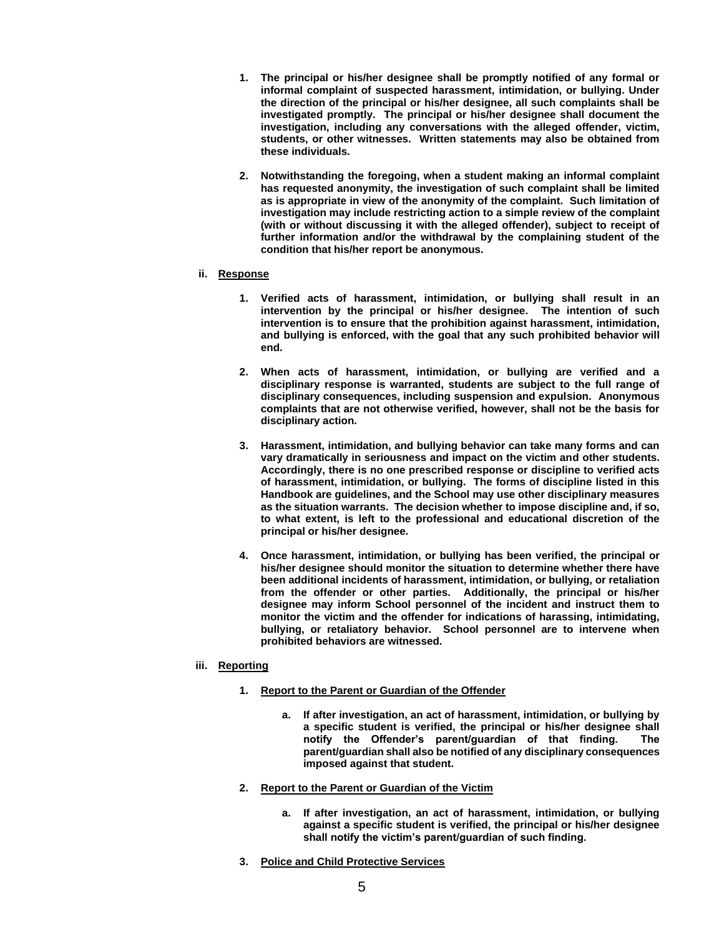- **1. The principal or his/her designee shall be promptly notified of any formal or informal complaint of suspected harassment, intimidation, or bullying. Under the direction of the principal or his/her designee, all such complaints shall be investigated promptly. The principal or his/her designee shall document the investigation, including any conversations with the alleged offender, victim, students, or other witnesses. Written statements may also be obtained from these individuals.**
- **2. Notwithstanding the foregoing, when a student making an informal complaint has requested anonymity, the investigation of such complaint shall be limited as is appropriate in view of the anonymity of the complaint. Such limitation of investigation may include restricting action to a simple review of the complaint (with or without discussing it with the alleged offender), subject to receipt of further information and/or the withdrawal by the complaining student of the condition that his/her report be anonymous.**

#### **ii. Response**

- **1. Verified acts of harassment, intimidation, or bullying shall result in an intervention by the principal or his/her designee. The intention of such intervention is to ensure that the prohibition against harassment, intimidation, and bullying is enforced, with the goal that any such prohibited behavior will end.**
- **2. When acts of harassment, intimidation, or bullying are verified and a disciplinary response is warranted, students are subject to the full range of disciplinary consequences, including suspension and expulsion. Anonymous complaints that are not otherwise verified, however, shall not be the basis for disciplinary action.**
- **3. Harassment, intimidation, and bullying behavior can take many forms and can vary dramatically in seriousness and impact on the victim and other students. Accordingly, there is no one prescribed response or discipline to verified acts of harassment, intimidation, or bullying. The forms of discipline listed in this Handbook are guidelines, and the School may use other disciplinary measures as the situation warrants. The decision whether to impose discipline and, if so, to what extent, is left to the professional and educational discretion of the principal or his/her designee.**
- **4. Once harassment, intimidation, or bullying has been verified, the principal or his/her designee should monitor the situation to determine whether there have been additional incidents of harassment, intimidation, or bullying, or retaliation from the offender or other parties. Additionally, the principal or his/her designee may inform School personnel of the incident and instruct them to monitor the victim and the offender for indications of harassing, intimidating, bullying, or retaliatory behavior. School personnel are to intervene when prohibited behaviors are witnessed.**

#### **iii. Reporting**

- **1. Report to the Parent or Guardian of the Offender**
	- **a. If after investigation, an act of harassment, intimidation, or bullying by a specific student is verified, the principal or his/her designee shall notify the Offender's parent/guardian of that finding. The parent/guardian shall also be notified of any disciplinary consequences imposed against that student.**
- **2. Report to the Parent or Guardian of the Victim**
	- **a. If after investigation, an act of harassment, intimidation, or bullying against a specific student is verified, the principal or his/her designee shall notify the victim's parent/guardian of such finding.**
- **3. Police and Child Protective Services**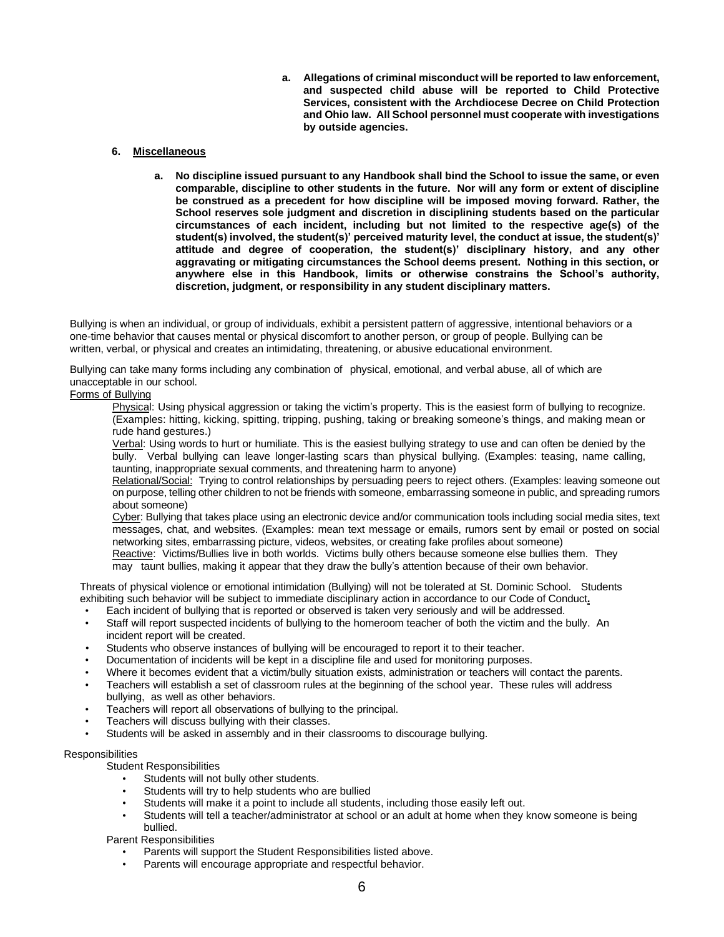**a. Allegations of criminal misconduct will be reported to law enforcement, and suspected child abuse will be reported to Child Protective Services, consistent with the Archdiocese Decree on Child Protection and Ohio law. All School personnel must cooperate with investigations by outside agencies.**

#### **6. Miscellaneous**

**a. No discipline issued pursuant to any Handbook shall bind the School to issue the same, or even comparable, discipline to other students in the future. Nor will any form or extent of discipline be construed as a precedent for how discipline will be imposed moving forward. Rather, the School reserves sole judgment and discretion in disciplining students based on the particular circumstances of each incident, including but not limited to the respective age(s) of the student(s) involved, the student(s)' perceived maturity level, the conduct at issue, the student(s)' attitude and degree of cooperation, the student(s)' disciplinary history, and any other aggravating or mitigating circumstances the School deems present. Nothing in this section, or anywhere else in this Handbook, limits or otherwise constrains the School's authority, discretion, judgment, or responsibility in any student disciplinary matters.**

Bullying is when an individual, or group of individuals, exhibit a persistent pattern of aggressive, intentional behaviors or a one-time behavior that causes mental or physical discomfort to another person, or group of people. Bullying can be written, verbal, or physical and creates an intimidating, threatening, or abusive educational environment.

Bullying can take many forms including any combination of physical, emotional, and verbal abuse, all of which are unacceptable in our school.

#### Forms of Bullying

Physical: Using physical aggression or taking the victim's property. This is the easiest form of bullying to recognize. (Examples: hitting, kicking, spitting, tripping, pushing, taking or breaking someone's things, and making mean or rude hand gestures.)

Verbal: Using words to hurt or humiliate. This is the easiest bullying strategy to use and can often be denied by the bully. Verbal bullying can leave longer-lasting scars than physical bullying. (Examples: teasing, name calling, taunting, inappropriate sexual comments, and threatening harm to anyone)

Relational/Social: Trying to control relationships by persuading peers to reject others. (Examples: leaving someone out on purpose, telling other children to not be friends with someone, embarrassing someone in public, and spreading rumors about someone)

Cyber: Bullying that takes place using an electronic device and/or communication tools including social media sites, text messages, chat, and websites. (Examples: mean text message or emails, rumors sent by email or posted on social networking sites, embarrassing picture, videos, websites, or creating fake profiles about someone)

Reactive: Victims/Bullies live in both worlds. Victims bully others because someone else bullies them. They may taunt bullies, making it appear that they draw the bully's attention because of their own behavior.

Threats of physical violence or emotional intimidation (Bullying) will not be tolerated at St. Dominic School. Students exhibiting such behavior will be subject to immediate disciplinary action in accordance to our Code of Conduct**.**

- Each incident of bullying that is reported or observed is taken very seriously and will be addressed.
- Staff will report suspected incidents of bullying to the homeroom teacher of both the victim and the bully. An incident report will be created.
- Students who observe instances of bullying will be encouraged to report it to their teacher.
- Documentation of incidents will be kept in a discipline file and used for monitoring purposes.
- Where it becomes evident that a victim/bully situation exists, administration or teachers will contact the parents.
- Teachers will establish a set of classroom rules at the beginning of the school year. These rules will address bullying, as well as other behaviors.
- Teachers will report all observations of bullying to the principal.
- Teachers will discuss bullying with their classes.
- Students will be asked in assembly and in their classrooms to discourage bullying.

### Responsibilities

Student Responsibilities

- Students will not bully other students.
- Students will try to help students who are bullied
- Students will make it a point to include all students, including those easily left out.
- Students will tell a teacher/administrator at school or an adult at home when they know someone is being bullied.

Parent Responsibilities

- Parents will support the Student Responsibilities listed above.
- Parents will encourage appropriate and respectful behavior.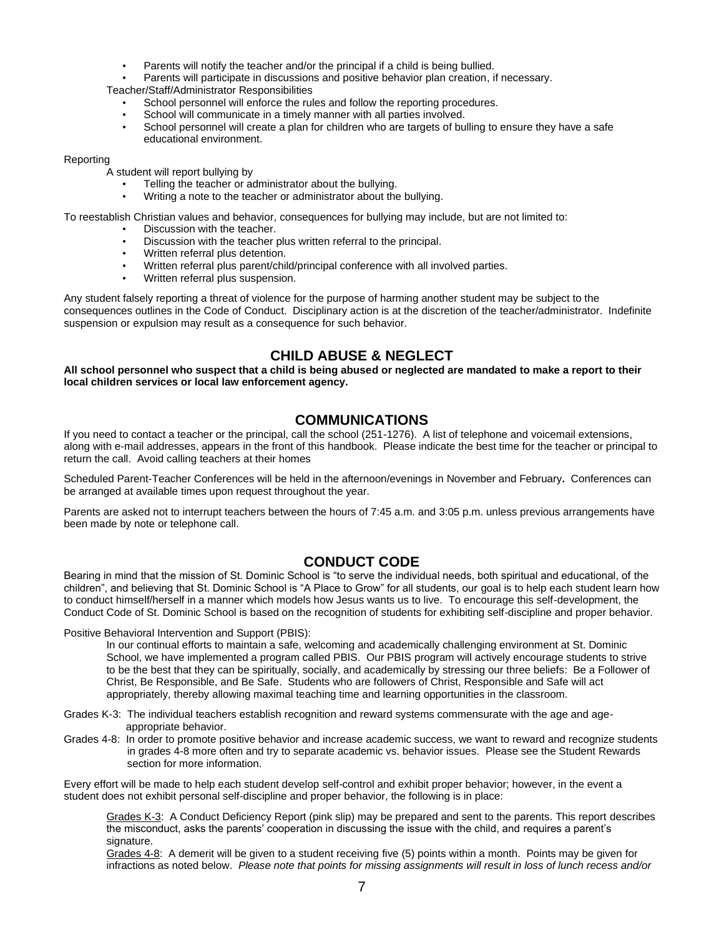- Parents will notify the teacher and/or the principal if a child is being bullied.
- Parents will participate in discussions and positive behavior plan creation, if necessary.

Teacher/Staff/Administrator Responsibilities

- School personnel will enforce the rules and follow the reporting procedures.
- School will communicate in a timely manner with all parties involved.
- School personnel will create a plan for children who are targets of bulling to ensure they have a safe educational environment.

#### Reporting

A student will report bullying by

- Telling the teacher or administrator about the bullying.
- Writing a note to the teacher or administrator about the bullying.

To reestablish Christian values and behavior, consequences for bullying may include, but are not limited to:

- Discussion with the teacher.
- Discussion with the teacher plus written referral to the principal.
- Written referral plus detention.
- Written referral plus parent/child/principal conference with all involved parties.
- Written referral plus suspension.

Any student falsely reporting a threat of violence for the purpose of harming another student may be subject to the consequences outlines in the Code of Conduct. Disciplinary action is at the discretion of the teacher/administrator. Indefinite suspension or expulsion may result as a consequence for such behavior.

# **CHILD ABUSE & NEGLECT**

**All school personnel who suspect that a child is being abused or neglected are mandated to make a report to their local children services or local law enforcement agency.**

# **COMMUNICATIONS**

If you need to contact a teacher or the principal, call the school (251-1276). A list of telephone and voicemail extensions, along with e-mail addresses, appears in the front of this handbook. Please indicate the best time for the teacher or principal to return the call. Avoid calling teachers at their homes

Scheduled Parent-Teacher Conferences will be held in the afternoon/evenings in November and February**.** Conferences can be arranged at available times upon request throughout the year.

Parents are asked not to interrupt teachers between the hours of 7:45 a.m. and 3:05 p.m. unless previous arrangements have been made by note or telephone call.

### **CONDUCT CODE**

Bearing in mind that the mission of St. Dominic School is "to serve the individual needs, both spiritual and educational, of the children", and believing that St. Dominic School is "A Place to Grow" for all students, our goal is to help each student learn how to conduct himself/herself in a manner which models how Jesus wants us to live. To encourage this self-development, the Conduct Code of St. Dominic School is based on the recognition of students for exhibiting self-discipline and proper behavior.

Positive Behavioral Intervention and Support (PBIS):

In our continual efforts to maintain a safe, welcoming and academically challenging environment at St. Dominic School, we have implemented a program called PBIS. Our PBIS program will actively encourage students to strive to be the best that they can be spiritually, socially, and academically by stressing our three beliefs: Be a Follower of Christ, Be Responsible, and Be Safe. Students who are followers of Christ, Responsible and Safe will act appropriately, thereby allowing maximal teaching time and learning opportunities in the classroom.

Grades K-3: The individual teachers establish recognition and reward systems commensurate with the age and age appropriate behavior.

Grades 4-8: In order to promote positive behavior and increase academic success, we want to reward and recognize students in grades 4-8 more often and try to separate academic vs. behavior issues. Please see the Student Rewards section for more information.

Every effort will be made to help each student develop self-control and exhibit proper behavior; however, in the event a student does not exhibit personal self-discipline and proper behavior, the following is in place:

Grades K-3: A Conduct Deficiency Report (pink slip) may be prepared and sent to the parents. This report describes the misconduct, asks the parents' cooperation in discussing the issue with the child, and requires a parent's signature.

Grades 4-8: A demerit will be given to a student receiving five (5) points within a month. Points may be given for infractions as noted below. *Please note that points for missing assignments will result in loss of lunch recess and/or*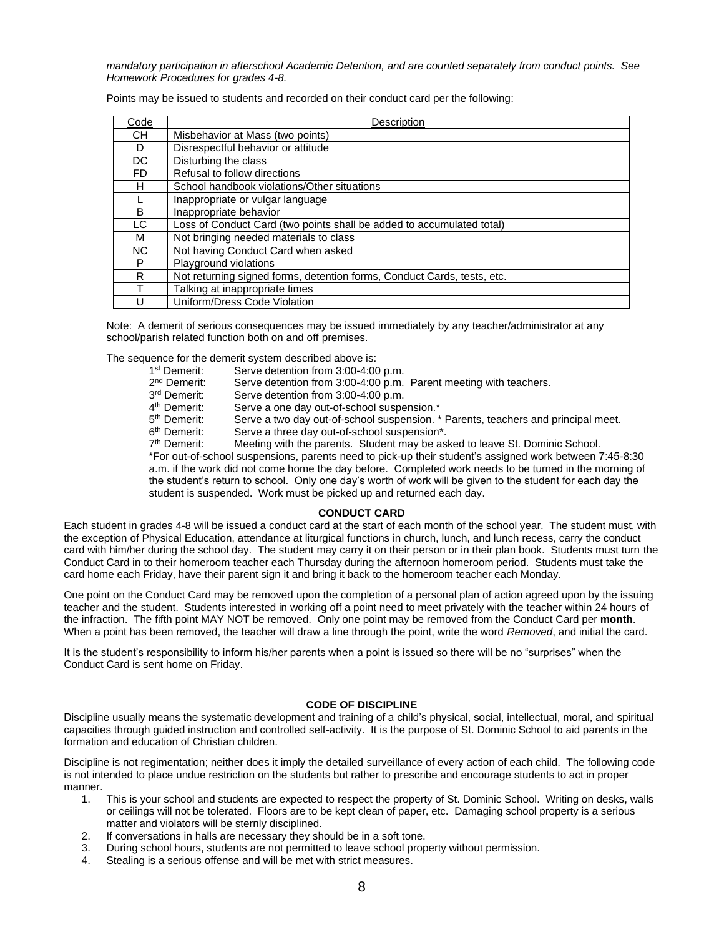*mandatory participation in afterschool Academic Detention, and are counted separately from conduct points. See Homework Procedures for grades 4-8.*

Points may be issued to students and recorded on their conduct card per the following:

| Code      | Description                                                             |
|-----------|-------------------------------------------------------------------------|
| <b>CH</b> | Misbehavior at Mass (two points)                                        |
| D         | Disrespectful behavior or attitude                                      |
| DC        | Disturbing the class                                                    |
| FD.       | Refusal to follow directions                                            |
| H         | School handbook violations/Other situations                             |
|           | Inappropriate or vulgar language                                        |
| B.        | Inappropriate behavior                                                  |
| LC        | Loss of Conduct Card (two points shall be added to accumulated total)   |
| м         | Not bringing needed materials to class                                  |
| <b>NC</b> | Not having Conduct Card when asked                                      |
| P         | Playground violations                                                   |
| R         | Not returning signed forms, detention forms, Conduct Cards, tests, etc. |
|           | Talking at inappropriate times                                          |
| U         | Uniform/Dress Code Violation                                            |

Note: A demerit of serious consequences may be issued immediately by any teacher/administrator at any school/parish related function both on and off premises.

The sequence for the demerit system described above is:

- 1<sup>st</sup> Demerit: Serve detention from 3:00-4:00 p.m.
- 2<sup>nd</sup> Demerit: Serve detention from 3:00-4:00 p.m. Parent meeting with teachers.
- 3rd Demerit: Serve detention from 3:00-4:00 p.m.
- 4<sup>th</sup> Demerit: Serve a one day out-of-school suspension.\*
- 5<sup>th</sup> Demerit: Serve a two day out-of-school suspension. \* Parents, teachers and principal meet.
- 6<sup>th</sup> Demerit: Serve a three day out-of-school suspension\*.
- 7<sup>th</sup> Demerit: Meeting with the parents. Student may be asked to leave St. Dominic School.

\*For out-of-school suspensions, parents need to pick-up their student's assigned work between 7:45-8:30 a.m. if the work did not come home the day before. Completed work needs to be turned in the morning of the student's return to school. Only one day's worth of work will be given to the student for each day the student is suspended. Work must be picked up and returned each day.

#### **CONDUCT CARD**

Each student in grades 4-8 will be issued a conduct card at the start of each month of the school year. The student must, with the exception of Physical Education, attendance at liturgical functions in church, lunch, and lunch recess, carry the conduct card with him/her during the school day. The student may carry it on their person or in their plan book. Students must turn the Conduct Card in to their homeroom teacher each Thursday during the afternoon homeroom period. Students must take the card home each Friday, have their parent sign it and bring it back to the homeroom teacher each Monday.

One point on the Conduct Card may be removed upon the completion of a personal plan of action agreed upon by the issuing teacher and the student. Students interested in working off a point need to meet privately with the teacher within 24 hours of the infraction. The fifth point MAY NOT be removed. Only one point may be removed from the Conduct Card per **month**. When a point has been removed, the teacher will draw a line through the point, write the word *Removed*, and initial the card.

It is the student's responsibility to inform his/her parents when a point is issued so there will be no "surprises" when the Conduct Card is sent home on Friday.

#### **CODE OF DISCIPLINE**

Discipline usually means the systematic development and training of a child's physical, social, intellectual, moral, and spiritual capacities through guided instruction and controlled self-activity. It is the purpose of St. Dominic School to aid parents in the formation and education of Christian children.

Discipline is not regimentation; neither does it imply the detailed surveillance of every action of each child. The following code is not intended to place undue restriction on the students but rather to prescribe and encourage students to act in proper manner.

- 1. This is your school and students are expected to respect the property of St. Dominic School. Writing on desks, walls or ceilings will not be tolerated. Floors are to be kept clean of paper, etc. Damaging school property is a serious matter and violators will be sternly disciplined.
- 2. If conversations in halls are necessary they should be in a soft tone.
- 3. During school hours, students are not permitted to leave school property without permission.
- 4. Stealing is a serious offense and will be met with strict measures.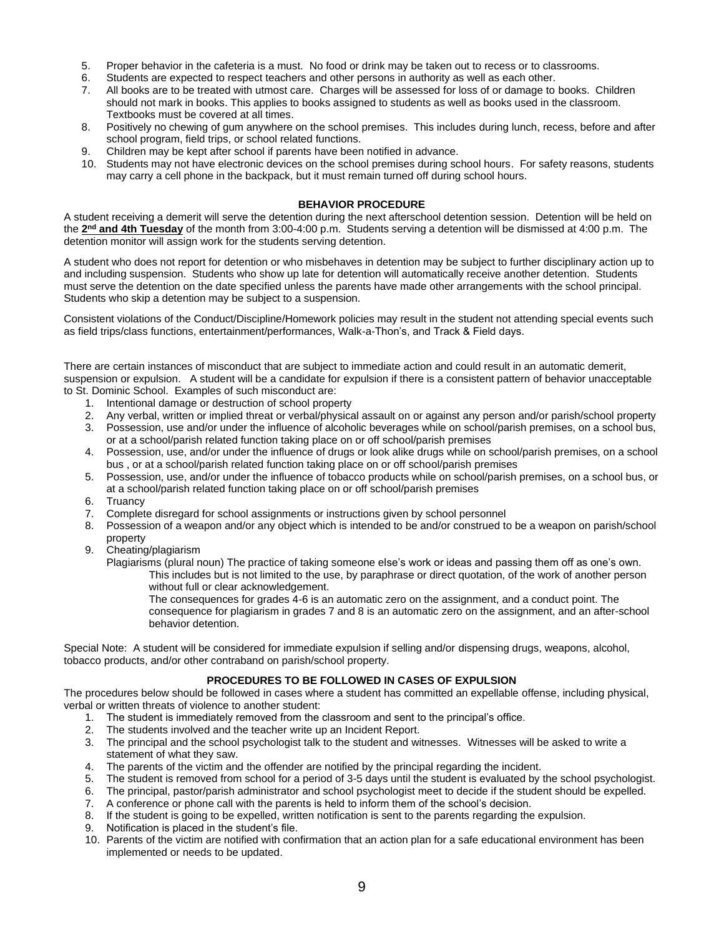- 5. Proper behavior in the cafeteria is a must. No food or drink may be taken out to recess or to classrooms.
- 6. Students are expected to respect teachers and other persons in authority as well as each other.
- 7. All books are to be treated with utmost care. Charges will be assessed for loss of or damage to books. Children should not mark in books. This applies to books assigned to students as well as books used in the classroom. Textbooks must be covered at all times.
- 8. Positively no chewing of gum anywhere on the school premises. This includes during lunch, recess, before and after school program, field trips, or school related functions.
- 9. Children may be kept after school if parents have been notified in advance.
- 10. Students may not have electronic devices on the school premises during school hours. For safety reasons, students may carry a cell phone in the backpack, but it must remain turned off during school hours.

#### **BEHAVIOR PROCEDURE**

A student receiving a demerit will serve the detention during the next afterschool detention session. Detention will be held on the 2<sup>nd</sup> and 4th Tuesday of the month from 3:00-4:00 p.m. Students serving a detention will be dismissed at 4:00 p.m. The detention monitor will assign work for the students serving detention.

A student who does not report for detention or who misbehaves in detention may be subject to further disciplinary action up to and including suspension. Students who show up late for detention will automatically receive another detention. Students must serve the detention on the date specified unless the parents have made other arrangements with the school principal. Students who skip a detention may be subject to a suspension.

Consistent violations of the Conduct/Discipline/Homework policies may result in the student not attending special events such as field trips/class functions, entertainment/performances, Walk-a-Thon's, and Track & Field days.

There are certain instances of misconduct that are subject to immediate action and could result in an automatic demerit, suspension or expulsion. A student will be a candidate for expulsion if there is a consistent pattern of behavior unacceptable to St. Dominic School.Examples of such misconduct are:

- 1. Intentional damage or destruction of school property
- 2. Any verbal, written or implied threat or verbal/physical assault on or against any person and/or parish/school property
- 3. Possession, use and/or under the influence of alcoholic beverages while on school/parish premises, on a school bus, or at a school/parish related function taking place on or off school/parish premises
- 4. Possession, use, and/or under the influence of drugs or look alike drugs while on school/parish premises, on a school bus , or at a school/parish related function taking place on or off school/parish premises
- 5. Possession, use, and/or under the influence of tobacco products while on school/parish premises, on a school bus, or at a school/parish related function taking place on or off school/parish premises
- 6. Truancy
- 7. Complete disregard for school assignments or instructions given by school personnel
- 8. Possession of a weapon and/or any object which is intended to be and/or construed to be a weapon on parish/school property
- 9. Cheating/plagiarism

Plagiarisms (plural noun) The practice of taking someone else's work or ideas and passing them off as one's own.

This includes but is not limited to the use, by paraphrase or direct quotation, of the work of another person without full or clear acknowledgement.

The consequences for grades 4-6 is an automatic zero on the assignment, and a conduct point. The consequence for plagiarism in grades 7 and 8 is an automatic zero on the assignment, and an after-school behavior detention.

Special Note: A student will be considered for immediate expulsion if selling and/or dispensing drugs, weapons, alcohol, tobacco products, and/or other contraband on parish/school property.

### **PROCEDURES TO BE FOLLOWED IN CASES OF EXPULSION**

The procedures below should be followed in cases where a student has committed an expellable offense, including physical, verbal or written threats of violence to another student:

- 1. The student is immediately removed from the classroom and sent to the principal's office.
- 2. The students involved and the teacher write up an Incident Report.
- 3. The principal and the school psychologist talk to the student and witnesses. Witnesses will be asked to write a statement of what they saw.
- 4. The parents of the victim and the offender are notified by the principal regarding the incident.
- 5. The student is removed from school for a period of 3-5 days until the student is evaluated by the school psychologist.
- 6. The principal, pastor/parish administrator and school psychologist meet to decide if the student should be expelled.
- 7. A conference or phone call with the parents is held to inform them of the school's decision.
- 8. If the student is going to be expelled, written notification is sent to the parents regarding the expulsion.
- 9. Notification is placed in the student's file.
- 10. Parents of the victim are notified with confirmation that an action plan for a safe educational environment has been implemented or needs to be updated.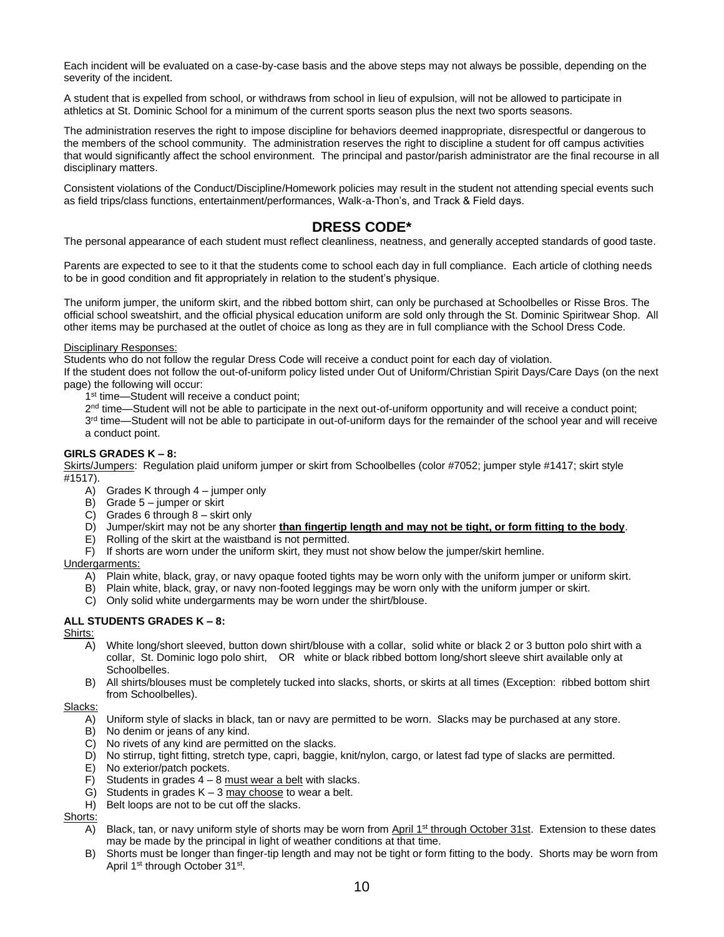Each incident will be evaluated on a case-by-case basis and the above steps may not always be possible, depending on the severity of the incident.

A student that is expelled from school, or withdraws from school in lieu of expulsion, will not be allowed to participate in athletics at St. Dominic School for a minimum of the current sports season plus the next two sports seasons.

The administration reserves the right to impose discipline for behaviors deemed inappropriate, disrespectful or dangerous to the members of the school community. The administration reserves the right to discipline a student for off campus activities that would significantly affect the school environment. The principal and pastor/parish administrator are the final recourse in all disciplinary matters.

Consistent violations of the Conduct/Discipline/Homework policies may result in the student not attending special events such as field trips/class functions, entertainment/performances, Walk-a-Thon's, and Track & Field days.

# **DRESS CODE\***

The personal appearance of each student must reflect cleanliness, neatness, and generally accepted standards of good taste.

Parents are expected to see to it that the students come to school each day in full compliance. Each article of clothing needs to be in good condition and fit appropriately in relation to the student's physique.

The uniform jumper, the uniform skirt, and the ribbed bottom shirt, can only be purchased at Schoolbelles or Risse Bros. The official school sweatshirt, and the official physical education uniform are sold only through the St. Dominic Spiritwear Shop. All other items may be purchased at the outlet of choice as long as they are in full compliance with the School Dress Code.

#### Disciplinary Responses:

Students who do not follow the regular Dress Code will receive a conduct point for each day of violation.

If the student does not follow the out-of-uniform policy listed under Out of Uniform/Christian Spirit Days/Care Days (on the next page) the following will occur:

1<sup>st</sup> time-Student will receive a conduct point;

2<sup>nd</sup> time—Student will not be able to participate in the next out-of-uniform opportunity and will receive a conduct point;

3<sup>rd</sup> time—Student will not be able to participate in out-of-uniform days for the remainder of the school year and will receive a conduct point.

#### **GIRLS GRADES K – 8:**

Skirts/Jumpers: Regulation plaid uniform jumper or skirt from Schoolbelles (color #7052; jumper style #1417; skirt style #1517).

- A) Grades K through 4 jumper only
- B) Grade 5 jumper or skirt
- C) Grades 6 through 8 skirt only
- D) Jumper/skirt may not be any shorter **than fingertip length and may not be tight, or form fitting to the body**.
- E) Rolling of the skirt at the waistband is not permitted.
- F) If shorts are worn under the uniform skirt, they must not show below the jumper/skirt hemline.

#### Undergarments:

- A) Plain white, black, gray, or navy opaque footed tights may be worn only with the uniform jumper or uniform skirt.
- B) Plain white, black, gray, or navy non-footed leggings may be worn only with the uniform jumper or skirt.
- C) Only solid white undergarments may be worn under the shirt/blouse.

#### **ALL STUDENTS GRADES K – 8:**

#### Shirts:

- A) White long/short sleeved, button down shirt/blouse with a collar, solid white or black 2 or 3 button polo shirt with a collar, St. Dominic logo polo shirt, OR white or black ribbed bottom long/short sleeve shirt available only at Schoolbelles.
- B) All shirts/blouses must be completely tucked into slacks, shorts, or skirts at all times (Exception: ribbed bottom shirt from Schoolbelles).

#### Slacks:

- A) Uniform style of slacks in black, tan or navy are permitted to be worn. Slacks may be purchased at any store.
- B) No denim or jeans of any kind.
- C) No rivets of any kind are permitted on the slacks.
- D) No stirrup, tight fitting, stretch type, capri, baggie, knit/nylon, cargo, or latest fad type of slacks are permitted.
- E) No exterior/patch pockets.
- F) Students in grades  $4 8$  must wear a belt with slacks.
- G) Students in grades  $K 3$  may choose to wear a belt.
- H) Belt loops are not to be cut off the slacks.

### Shorts:

- A) Black, tan, or navy uniform style of shorts may be worn from April 1<sup>st</sup> through October 31st. Extension to these dates may be made by the principal in light of weather conditions at that time.
- B) Shorts must be longer than finger-tip length and may not be tight or form fitting to the body. Shorts may be worn from April 1st through October 31st.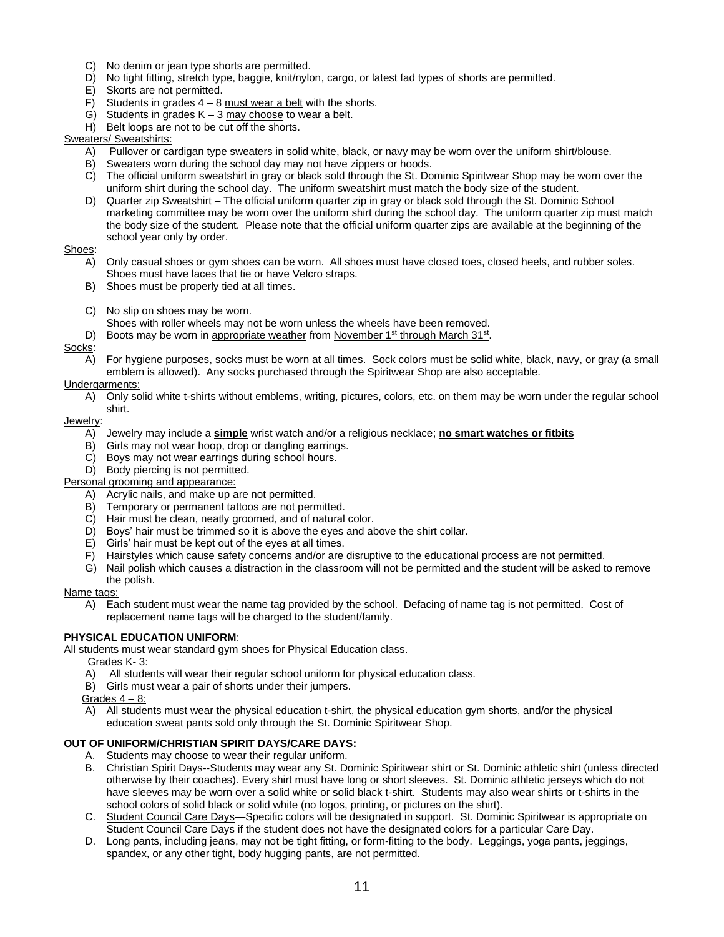- C) No denim or jean type shorts are permitted.
- D) No tight fitting, stretch type, baggie, knit/nylon, cargo, or latest fad types of shorts are permitted.
- E) Skorts are not permitted.
- F) Students in grades  $4 8$  must wear a belt with the shorts.
- G) Students in grades  $K 3$  may choose to wear a belt.
- H) Belt loops are not to be cut off the shorts.

#### Sweaters/ Sweatshirts:

- A) Pullover or cardigan type sweaters in solid white, black, or navy may be worn over the uniform shirt/blouse.
- B) Sweaters worn during the school day may not have zippers or hoods.
- C) The official uniform sweatshirt in gray or black sold through the St. Dominic Spiritwear Shop may be worn over the uniform shirt during the school day. The uniform sweatshirt must match the body size of the student.
- D) Quarter zip Sweatshirt The official uniform quarter zip in gray or black sold through the St. Dominic School marketing committee may be worn over the uniform shirt during the school day. The uniform quarter zip must match the body size of the student. Please note that the official uniform quarter zips are available at the beginning of the school year only by order.

### Shoes:

- Only casual shoes or gym shoes can be worn. All shoes must have closed toes, closed heels, and rubber soles. Shoes must have laces that tie or have Velcro straps.
- B) Shoes must be properly tied at all times.
- C) No slip on shoes may be worn.

Shoes with roller wheels may not be worn unless the wheels have been removed.

D) Boots may be worn in appropriate weather from November 1<sup>st</sup> through March 31<sup>st</sup>.

#### Socks:

A) For hygiene purposes, socks must be worn at all times. Sock colors must be solid white, black, navy, or gray (a small emblem is allowed). Any socks purchased through the Spiritwear Shop are also acceptable.

#### Undergarments:

A) Only solid white t-shirts without emblems, writing, pictures, colors, etc. on them may be worn under the regular school shirt.

#### Jewelry:

- A) Jewelry may include a **simple** wrist watch and/or a religious necklace; **no smart watches or fitbits**
- B) Girls may not wear hoop, drop or dangling earrings.
- C) Boys may not wear earrings during school hours.
- D) Body piercing is not permitted.
- Personal grooming and appearance:
	- A) Acrylic nails, and make up are not permitted.
	- B) Temporary or permanent tattoos are not permitted.
	- C) Hair must be clean, neatly groomed, and of natural color.
	- D) Boys' hair must be trimmed so it is above the eyes and above the shirt collar.
	- E) Girls' hair must be kept out of the eyes at all times.
	- F) Hairstyles which cause safety concerns and/or are disruptive to the educational process are not permitted.
	- G) Nail polish which causes a distraction in the classroom will not be permitted and the student will be asked to remove the polish.

#### Name tags:

A) Each student must wear the name tag provided by the school. Defacing of name tag is not permitted. Cost of replacement name tags will be charged to the student/family.

#### **PHYSICAL EDUCATION UNIFORM**:

All students must wear standard gym shoes for Physical Education class.

- Grades K- 3:
- A) All students will wear their regular school uniform for physical education class.
- B) Girls must wear a pair of shorts under their jumpers.
- Grades  $4 8$ :
- A) All students must wear the physical education t-shirt, the physical education gym shorts, and/or the physical education sweat pants sold only through the St. Dominic Spiritwear Shop.

#### **OUT OF UNIFORM/CHRISTIAN SPIRIT DAYS/CARE DAYS:**

- A. Students may choose to wear their regular uniform.
- B. Christian Spirit Days--Students may wear any St. Dominic Spiritwear shirt or St. Dominic athletic shirt (unless directed otherwise by their coaches). Every shirt must have long or short sleeves. St. Dominic athletic jerseys which do not have sleeves may be worn over a solid white or solid black t-shirt. Students may also wear shirts or t-shirts in the school colors of solid black or solid white (no logos, printing, or pictures on the shirt).
- C. Student Council Care Days—Specific colors will be designated in support. St. Dominic Spiritwear is appropriate on Student Council Care Days if the student does not have the designated colors for a particular Care Day.
- D. Long pants, including jeans, may not be tight fitting, or form-fitting to the body. Leggings, yoga pants, jeggings, spandex, or any other tight, body hugging pants, are not permitted.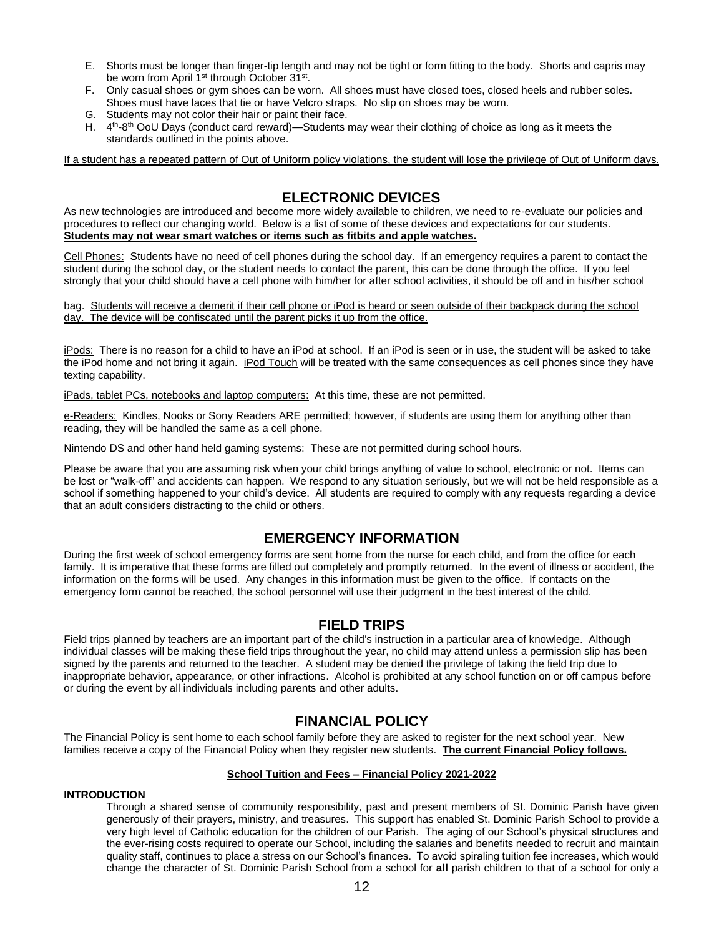- E. Shorts must be longer than finger-tip length and may not be tight or form fitting to the body. Shorts and capris may be worn from April 1<sup>st</sup> through October 31<sup>st</sup>.
- F. Only casual shoes or gym shoes can be worn. All shoes must have closed toes, closed heels and rubber soles. Shoes must have laces that tie or have Velcro straps. No slip on shoes may be worn.
- G. Students may not color their hair or paint their face.
- H. 4<sup>th</sup>-8<sup>th</sup> OoU Days (conduct card reward)—Students may wear their clothing of choice as long as it meets the standards outlined in the points above.

If a student has a repeated pattern of Out of Uniform policy violations, the student will lose the privilege of Out of Uniform days.

# **ELECTRONIC DEVICES**

As new technologies are introduced and become more widely available to children, we need to re-evaluate our policies and procedures to reflect our changing world. Below is a list of some of these devices and expectations for our students. **Students may not wear smart watches or items such as fitbits and apple watches.**

Cell Phones: Students have no need of cell phones during the school day. If an emergency requires a parent to contact the student during the school day, or the student needs to contact the parent, this can be done through the office. If you feel strongly that your child should have a cell phone with him/her for after school activities, it should be off and in his/her school

bag. Students will receive a demerit if their cell phone or iPod is heard or seen outside of their backpack during the school day. The device will be confiscated until the parent picks it up from the office.

iPods: There is no reason for a child to have an iPod at school. If an iPod is seen or in use, the student will be asked to take the iPod home and not bring it again. iPod Touch will be treated with the same consequences as cell phones since they have texting capability.

iPads, tablet PCs, notebooks and laptop computers: At this time, these are not permitted.

e-Readers: Kindles, Nooks or Sony Readers ARE permitted; however, if students are using them for anything other than reading, they will be handled the same as a cell phone.

Nintendo DS and other hand held gaming systems: These are not permitted during school hours.

Please be aware that you are assuming risk when your child brings anything of value to school, electronic or not. Items can be lost or "walk-off" and accidents can happen. We respond to any situation seriously, but we will not be held responsible as a school if something happened to your child's device. All students are required to comply with any requests regarding a device that an adult considers distracting to the child or others.

### **EMERGENCY INFORMATION**

During the first week of school emergency forms are sent home from the nurse for each child, and from the office for each family. It is imperative that these forms are filled out completely and promptly returned. In the event of illness or accident, the information on the forms will be used. Any changes in this information must be given to the office. If contacts on the emergency form cannot be reached, the school personnel will use their judgment in the best interest of the child.

### **FIELD TRIPS**

Field trips planned by teachers are an important part of the child's instruction in a particular area of knowledge. Although individual classes will be making these field trips throughout the year, no child may attend unless a permission slip has been signed by the parents and returned to the teacher. A student may be denied the privilege of taking the field trip due to inappropriate behavior, appearance, or other infractions. Alcohol is prohibited at any school function on or off campus before or during the event by all individuals including parents and other adults.

### **FINANCIAL POLICY**

The Financial Policy is sent home to each school family before they are asked to register for the next school year. New families receive a copy of the Financial Policy when they register new students. **The current Financial Policy follows.**

#### **School Tuition and Fees – Financial Policy 2021-2022**

#### **INTRODUCTION**

Through a shared sense of community responsibility, past and present members of St. Dominic Parish have given generously of their prayers, ministry, and treasures. This support has enabled St. Dominic Parish School to provide a very high level of Catholic education for the children of our Parish. The aging of our School's physical structures and the ever-rising costs required to operate our School, including the salaries and benefits needed to recruit and maintain quality staff, continues to place a stress on our School's finances. To avoid spiraling tuition fee increases, which would change the character of St. Dominic Parish School from a school for **all** parish children to that of a school for only a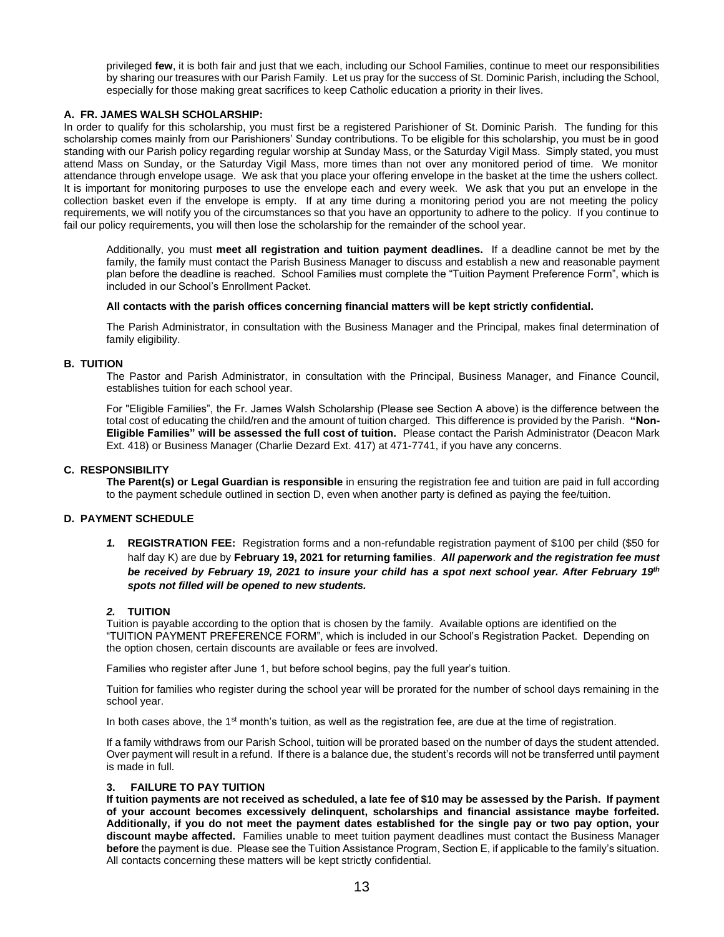privileged **few**, it is both fair and just that we each, including our School Families, continue to meet our responsibilities by sharing our treasures with our Parish Family. Let us pray for the success of St. Dominic Parish, including the School, especially for those making great sacrifices to keep Catholic education a priority in their lives.

#### **A. FR. JAMES WALSH SCHOLARSHIP:**

In order to qualify for this scholarship, you must first be a registered Parishioner of St. Dominic Parish. The funding for this scholarship comes mainly from our Parishioners' Sunday contributions. To be eligible for this scholarship, you must be in good standing with our Parish policy regarding regular worship at Sunday Mass, or the Saturday Vigil Mass. Simply stated, you must attend Mass on Sunday, or the Saturday Vigil Mass, more times than not over any monitored period of time. We monitor attendance through envelope usage. We ask that you place your offering envelope in the basket at the time the ushers collect. It is important for monitoring purposes to use the envelope each and every week. We ask that you put an envelope in the collection basket even if the envelope is empty. If at any time during a monitoring period you are not meeting the policy requirements, we will notify you of the circumstances so that you have an opportunity to adhere to the policy. If you continue to fail our policy requirements, you will then lose the scholarship for the remainder of the school year.

Additionally, you must **meet all registration and tuition payment deadlines.** If a deadline cannot be met by the family, the family must contact the Parish Business Manager to discuss and establish a new and reasonable payment plan before the deadline is reached. School Families must complete the "Tuition Payment Preference Form", which is included in our School's Enrollment Packet.

#### **All contacts with the parish offices concerning financial matters will be kept strictly confidential.**

The Parish Administrator, in consultation with the Business Manager and the Principal, makes final determination of family eligibility.

#### **B. TUITION**

The Pastor and Parish Administrator, in consultation with the Principal, Business Manager, and Finance Council, establishes tuition for each school year.

For "Eligible Families", the Fr. James Walsh Scholarship (Please see Section A above) is the difference between the total cost of educating the child/ren and the amount of tuition charged. This difference is provided by the Parish. **"Non-Eligible Families" will be assessed the full cost of tuition.** Please contact the Parish Administrator (Deacon Mark Ext. 418) or Business Manager (Charlie Dezard Ext. 417) at 471-7741, if you have any concerns.

#### **C. RESPONSIBILITY**

**The Parent(s) or Legal Guardian is responsible** in ensuring the registration fee and tuition are paid in full according to the payment schedule outlined in section D, even when another party is defined as paying the fee/tuition.

#### **D. PAYMENT SCHEDULE**

*1.* **REGISTRATION FEE:** Registration forms and a non-refundable registration payment of \$100 per child (\$50 for half day K) are due by **February 19, 2021 for returning families**. *All paperwork and the registration fee must be received by February 19, 2021 to insure your child has a spot next school year. After February 19th spots not filled will be opened to new students.*

#### *2.* **TUITION**

Tuition is payable according to the option that is chosen by the family. Available options are identified on the "TUITION PAYMENT PREFERENCE FORM", which is included in our School's Registration Packet. Depending on the option chosen, certain discounts are available or fees are involved.

Families who register after June 1, but before school begins, pay the full year's tuition.

Tuition for families who register during the school year will be prorated for the number of school days remaining in the school year.

In both cases above, the  $1<sup>st</sup>$  month's tuition, as well as the registration fee, are due at the time of registration.

If a family withdraws from our Parish School, tuition will be prorated based on the number of days the student attended. Over payment will result in a refund. If there is a balance due, the student's records will not be transferred until payment is made in full.

#### **3. FAILURE TO PAY TUITION**

**If tuition payments are not received as scheduled, a late fee of \$10 may be assessed by the Parish. If payment of your account becomes excessively delinquent, scholarships and financial assistance maybe forfeited. Additionally, if you do not meet the payment dates established for the single pay or two pay option, your discount maybe affected.** Families unable to meet tuition payment deadlines must contact the Business Manager **before** the payment is due. Please see the Tuition Assistance Program, Section E, if applicable to the family's situation. All contacts concerning these matters will be kept strictly confidential.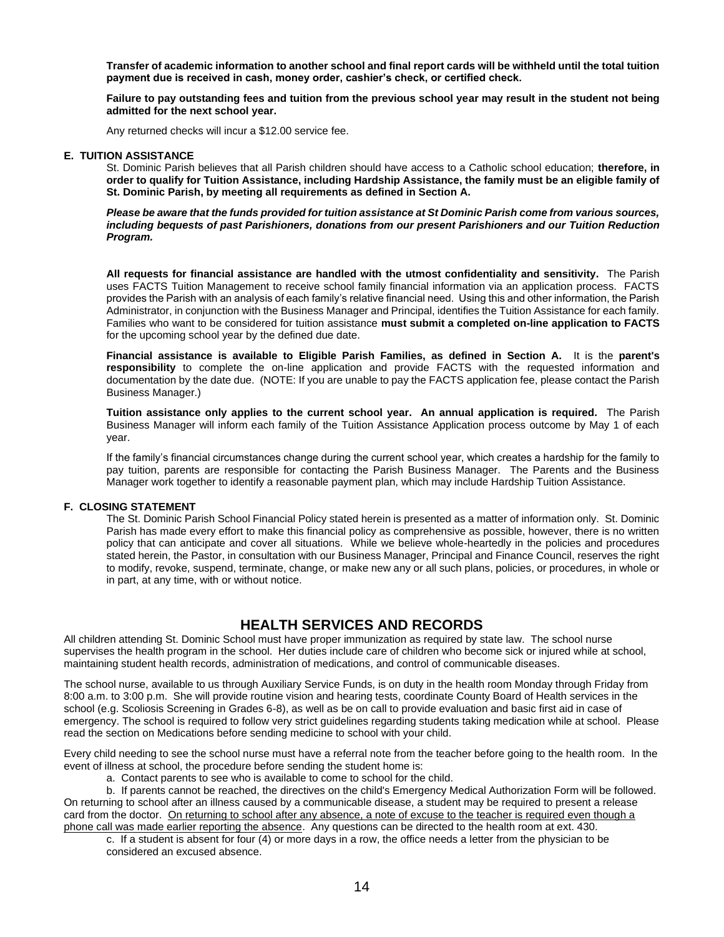**Transfer of academic information to another school and final report cards will be withheld until the total tuition payment due is received in cash, money order, cashier's check, or certified check.**

**Failure to pay outstanding fees and tuition from the previous school year may result in the student not being admitted for the next school year.**

Any returned checks will incur a \$12.00 service fee.

#### **E. TUITION ASSISTANCE**

St. Dominic Parish believes that all Parish children should have access to a Catholic school education; **therefore, in order to qualify for Tuition Assistance, including Hardship Assistance, the family must be an eligible family of St. Dominic Parish, by meeting all requirements as defined in Section A.**

*Please be aware that the funds provided for tuition assistance at St Dominic Parish come from various sources, including bequests of past Parishioners, donations from our present Parishioners and our Tuition Reduction Program.*

**All requests for financial assistance are handled with the utmost confidentiality and sensitivity.** The Parish uses FACTS Tuition Management to receive school family financial information via an application process. FACTS provides the Parish with an analysis of each family's relative financial need. Using this and other information, the Parish Administrator, in conjunction with the Business Manager and Principal, identifies the Tuition Assistance for each family. Families who want to be considered for tuition assistance **must submit a completed on-line application to FACTS** for the upcoming school year by the defined due date.

**Financial assistance is available to Eligible Parish Families, as defined in Section A.** It is the **parent's responsibility** to complete the on-line application and provide FACTS with the requested information and documentation by the date due. (NOTE: If you are unable to pay the FACTS application fee, please contact the Parish Business Manager.)

**Tuition assistance only applies to the current school year. An annual application is required.** The Parish Business Manager will inform each family of the Tuition Assistance Application process outcome by May 1 of each year.

If the family's financial circumstances change during the current school year, which creates a hardship for the family to pay tuition, parents are responsible for contacting the Parish Business Manager. The Parents and the Business Manager work together to identify a reasonable payment plan, which may include Hardship Tuition Assistance.

#### **F. CLOSING STATEMENT**

The St. Dominic Parish School Financial Policy stated herein is presented as a matter of information only. St. Dominic Parish has made every effort to make this financial policy as comprehensive as possible, however, there is no written policy that can anticipate and cover all situations. While we believe whole-heartedly in the policies and procedures stated herein, the Pastor, in consultation with our Business Manager, Principal and Finance Council, reserves the right to modify, revoke, suspend, terminate, change, or make new any or all such plans, policies, or procedures, in whole or in part, at any time, with or without notice.

### **HEALTH SERVICES AND RECORDS**

All children attending St. Dominic School must have proper immunization as required by state law. The school nurse supervises the health program in the school. Her duties include care of children who become sick or injured while at school, maintaining student health records, administration of medications, and control of communicable diseases.

The school nurse, available to us through Auxiliary Service Funds, is on duty in the health room Monday through Friday from 8:00 a.m. to 3:00 p.m. She will provide routine vision and hearing tests, coordinate County Board of Health services in the school (e.g. Scoliosis Screening in Grades 6-8), as well as be on call to provide evaluation and basic first aid in case of emergency. The school is required to follow very strict guidelines regarding students taking medication while at school. Please read the section on Medications before sending medicine to school with your child.

Every child needing to see the school nurse must have a referral note from the teacher before going to the health room. In the event of illness at school, the procedure before sending the student home is:

a. Contact parents to see who is available to come to school for the child.

b. If parents cannot be reached, the directives on the child's Emergency Medical Authorization Form will be followed. On returning to school after an illness caused by a communicable disease, a student may be required to present a release card from the doctor. On returning to school after any absence, a note of excuse to the teacher is required even though a phone call was made earlier reporting the absence. Any questions can be directed to the health room at ext. 430.

c. If a student is absent for four (4) or more days in a row, the office needs a letter from the physician to be considered an excused absence.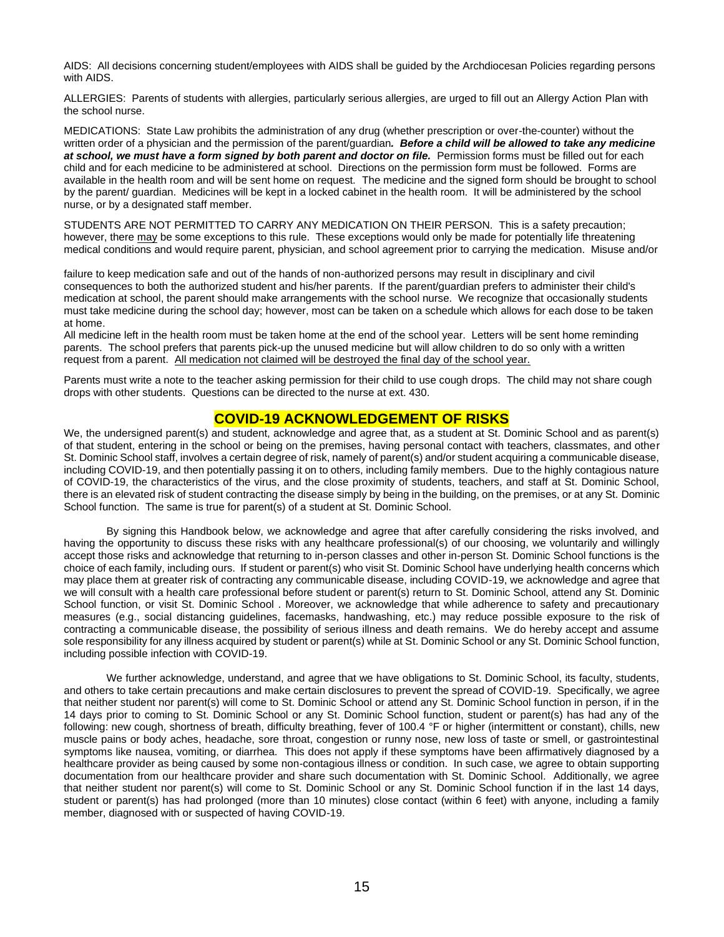AIDS: All decisions concerning student/employees with AIDS shall be guided by the Archdiocesan Policies regarding persons with AIDS.

ALLERGIES: Parents of students with allergies, particularly serious allergies, are urged to fill out an Allergy Action Plan with the school nurse.

MEDICATIONS: State Law prohibits the administration of any drug (whether prescription or over-the-counter) without the written order of a physician and the permission of the parent/guardian*. Before a child will be allowed to take any medicine at school, we must have a form signed by both parent and doctor on file.* Permission forms must be filled out for each child and for each medicine to be administered at school. Directions on the permission form must be followed. Forms are available in the health room and will be sent home on request. The medicine and the signed form should be brought to school by the parent/ guardian. Medicines will be kept in a locked cabinet in the health room. It will be administered by the school nurse, or by a designated staff member.

STUDENTS ARE NOT PERMITTED TO CARRY ANY MEDICATION ON THEIR PERSON. This is a safety precaution; however, there may be some exceptions to this rule. These exceptions would only be made for potentially life threatening medical conditions and would require parent, physician, and school agreement prior to carrying the medication. Misuse and/or

failure to keep medication safe and out of the hands of non-authorized persons may result in disciplinary and civil consequences to both the authorized student and his/her parents. If the parent/guardian prefers to administer their child's medication at school, the parent should make arrangements with the school nurse. We recognize that occasionally students must take medicine during the school day; however, most can be taken on a schedule which allows for each dose to be taken at home.

All medicine left in the health room must be taken home at the end of the school year. Letters will be sent home reminding parents. The school prefers that parents pick-up the unused medicine but will allow children to do so only with a written request from a parent. All medication not claimed will be destroyed the final day of the school year.

Parents must write a note to the teacher asking permission for their child to use cough drops. The child may not share cough drops with other students. Questions can be directed to the nurse at ext. 430.

### **COVID-19 ACKNOWLEDGEMENT OF RISKS**

We, the undersigned parent(s) and student, acknowledge and agree that, as a student at St. Dominic School and as parent(s) of that student, entering in the school or being on the premises, having personal contact with teachers, classmates, and other St. Dominic School staff, involves a certain degree of risk, namely of parent(s) and/or student acquiring a communicable disease, including COVID-19, and then potentially passing it on to others, including family members. Due to the highly contagious nature of COVID-19, the characteristics of the virus, and the close proximity of students, teachers, and staff at St. Dominic School, there is an elevated risk of student contracting the disease simply by being in the building, on the premises, or at any St. Dominic School function. The same is true for parent(s) of a student at St. Dominic School.

By signing this Handbook below, we acknowledge and agree that after carefully considering the risks involved, and having the opportunity to discuss these risks with any healthcare professional(s) of our choosing, we voluntarily and willingly accept those risks and acknowledge that returning to in-person classes and other in-person St. Dominic School functions is the choice of each family, including ours. If student or parent(s) who visit St. Dominic School have underlying health concerns which may place them at greater risk of contracting any communicable disease, including COVID-19, we acknowledge and agree that we will consult with a health care professional before student or parent(s) return to St. Dominic School, attend any St. Dominic School function, or visit St. Dominic School . Moreover, we acknowledge that while adherence to safety and precautionary measures (e.g., social distancing guidelines, facemasks, handwashing, etc.) may reduce possible exposure to the risk of contracting a communicable disease, the possibility of serious illness and death remains. We do hereby accept and assume sole responsibility for any illness acquired by student or parent(s) while at St. Dominic School or any St. Dominic School function, including possible infection with COVID-19.

We further acknowledge, understand, and agree that we have obligations to St. Dominic School, its faculty, students, and others to take certain precautions and make certain disclosures to prevent the spread of COVID-19. Specifically, we agree that neither student nor parent(s) will come to St. Dominic School or attend any St. Dominic School function in person, if in the 14 days prior to coming to St. Dominic School or any St. Dominic School function, student or parent(s) has had any of the following: new cough, shortness of breath, difficulty breathing, fever of 100.4 °F or higher (intermittent or constant), chills, new muscle pains or body aches, headache, sore throat, congestion or runny nose, new loss of taste or smell, or gastrointestinal symptoms like nausea, vomiting, or diarrhea. This does not apply if these symptoms have been affirmatively diagnosed by a healthcare provider as being caused by some non-contagious illness or condition. In such case, we agree to obtain supporting documentation from our healthcare provider and share such documentation with St. Dominic School. Additionally, we agree that neither student nor parent(s) will come to St. Dominic School or any St. Dominic School function if in the last 14 days, student or parent(s) has had prolonged (more than 10 minutes) close contact (within 6 feet) with anyone, including a family member, diagnosed with or suspected of having COVID-19.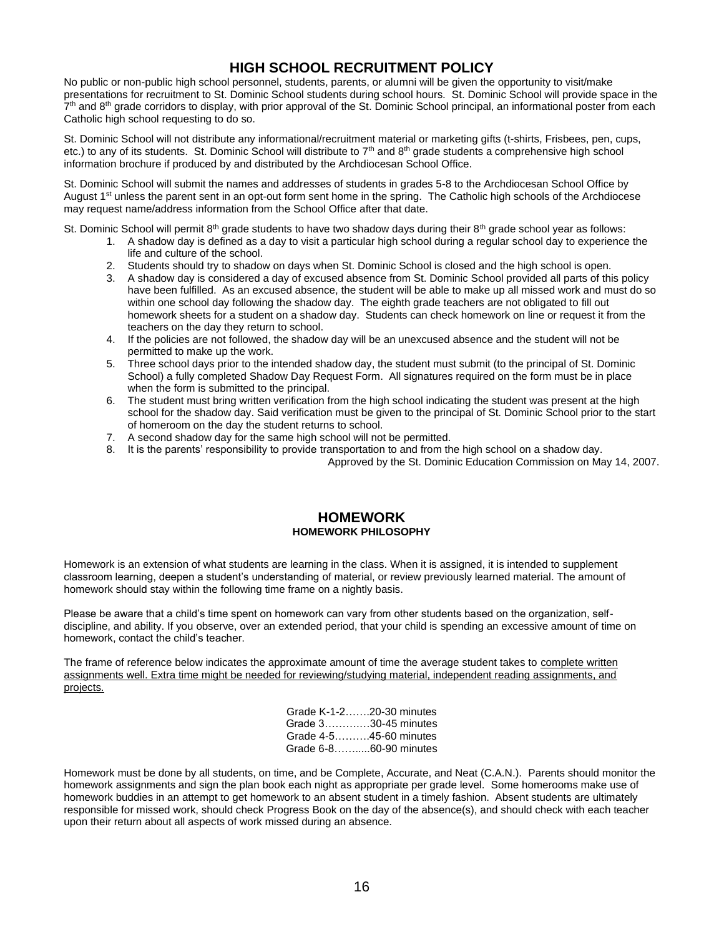# **HIGH SCHOOL RECRUITMENT POLICY**

No public or non-public high school personnel, students, parents, or alumni will be given the opportunity to visit/make presentations for recruitment to St. Dominic School students during school hours. St. Dominic School will provide space in the 7<sup>th</sup> and 8<sup>th</sup> grade corridors to display, with prior approval of the St. Dominic School principal, an informational poster from each Catholic high school requesting to do so.

St. Dominic School will not distribute any informational/recruitment material or marketing gifts (t-shirts, Frisbees, pen, cups, etc.) to any of its students. St. Dominic School will distribute to 7<sup>th</sup> and 8<sup>th</sup> grade students a comprehensive high school information brochure if produced by and distributed by the Archdiocesan School Office.

St. Dominic School will submit the names and addresses of students in grades 5-8 to the Archdiocesan School Office by August 1<sup>st</sup> unless the parent sent in an opt-out form sent home in the spring. The Catholic high schools of the Archdiocese may request name/address information from the School Office after that date.

St. Dominic School will permit 8<sup>th</sup> grade students to have two shadow days during their 8<sup>th</sup> grade school year as follows:

- 1. A shadow day is defined as a day to visit a particular high school during a regular school day to experience the life and culture of the school.
- 2. Students should try to shadow on days when St. Dominic School is closed and the high school is open.
- 3. A shadow day is considered a day of excused absence from St. Dominic School provided all parts of this policy have been fulfilled. As an excused absence, the student will be able to make up all missed work and must do so within one school day following the shadow day. The eighth grade teachers are not obligated to fill out homework sheets for a student on a shadow day. Students can check homework on line or request it from the teachers on the day they return to school.
- 4. If the policies are not followed, the shadow day will be an unexcused absence and the student will not be permitted to make up the work.
- 5. Three school days prior to the intended shadow day, the student must submit (to the principal of St. Dominic School) a fully completed Shadow Day Request Form. All signatures required on the form must be in place when the form is submitted to the principal.
- 6. The student must bring written verification from the high school indicating the student was present at the high school for the shadow day. Said verification must be given to the principal of St. Dominic School prior to the start of homeroom on the day the student returns to school.
- 7. A second shadow day for the same high school will not be permitted.
- 8. It is the parents' responsibility to provide transportation to and from the high school on a shadow day.

Approved by the St. Dominic Education Commission on May 14, 2007.

### **HOMEWORK HOMEWORK PHILOSOPHY**

Homework is an extension of what students are learning in the class. When it is assigned, it is intended to supplement classroom learning, deepen a student's understanding of material, or review previously learned material. The amount of homework should stay within the following time frame on a nightly basis.

Please be aware that a child's time spent on homework can vary from other students based on the organization, selfdiscipline, and ability. If you observe, over an extended period, that your child is spending an excessive amount of time on homework, contact the child's teacher.

The frame of reference below indicates the approximate amount of time the average student takes to complete written assignments well. Extra time might be needed for reviewing/studying material, independent reading assignments, and projects.

|  | Grade K-1-220-30 minutes<br>Grade 330-45 minutes<br>Grade 4-545-60 minutes<br>Grade 6-860-90 minutes |
|--|------------------------------------------------------------------------------------------------------|

Homework must be done by all students, on time, and be Complete, Accurate, and Neat (C.A.N.). Parents should monitor the homework assignments and sign the plan book each night as appropriate per grade level. Some homerooms make use of homework buddies in an attempt to get homework to an absent student in a timely fashion. Absent students are ultimately responsible for missed work, should check Progress Book on the day of the absence(s), and should check with each teacher upon their return about all aspects of work missed during an absence.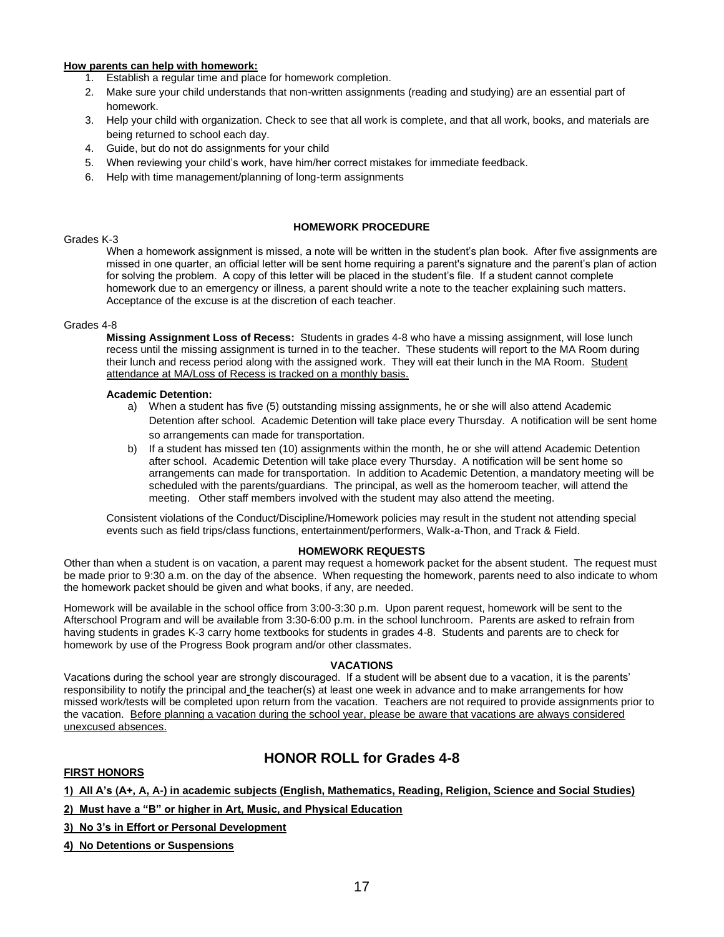#### **How parents can help with homework:**

- 1. Establish a regular time and place for homework completion.
- 2. Make sure your child understands that non-written assignments (reading and studying) are an essential part of homework.
- 3. Help your child with organization. Check to see that all work is complete, and that all work, books, and materials are being returned to school each day.
- 4. Guide, but do not do assignments for your child
- 5. When reviewing your child's work, have him/her correct mistakes for immediate feedback.
- 6. Help with time management/planning of long-term assignments

#### **HOMEWORK PROCEDURE**

#### Grades K-3

When a homework assignment is missed, a note will be written in the student's plan book. After five assignments are missed in one quarter, an official letter will be sent home requiring a parent's signature and the parent's plan of action for solving the problem. A copy of this letter will be placed in the student's file. If a student cannot complete homework due to an emergency or illness, a parent should write a note to the teacher explaining such matters. Acceptance of the excuse is at the discretion of each teacher.

#### Grades 4-8

**Missing Assignment Loss of Recess:** Students in grades 4-8 who have a missing assignment, will lose lunch recess until the missing assignment is turned in to the teacher. These students will report to the MA Room during their lunch and recess period along with the assigned work. They will eat their lunch in the MA Room. Student attendance at MA/Loss of Recess is tracked on a monthly basis.

#### **Academic Detention:**

- a) When a student has five (5) outstanding missing assignments, he or she will also attend Academic Detention after school. Academic Detention will take place every Thursday. A notification will be sent home so arrangements can made for transportation.
- b) If a student has missed ten (10) assignments within the month, he or she will attend Academic Detention after school. Academic Detention will take place every Thursday. A notification will be sent home so arrangements can made for transportation. In addition to Academic Detention, a mandatory meeting will be scheduled with the parents/guardians. The principal, as well as the homeroom teacher, will attend the meeting. Other staff members involved with the student may also attend the meeting.

Consistent violations of the Conduct/Discipline/Homework policies may result in the student not attending special events such as field trips/class functions, entertainment/performers, Walk-a-Thon, and Track & Field.

#### **HOMEWORK REQUESTS**

Other than when a student is on vacation, a parent may request a homework packet for the absent student. The request must be made prior to 9:30 a.m. on the day of the absence. When requesting the homework, parents need to also indicate to whom the homework packet should be given and what books, if any, are needed.

Homework will be available in the school office from 3:00-3:30 p.m. Upon parent request, homework will be sent to the Afterschool Program and will be available from 3:30-6:00 p.m. in the school lunchroom. Parents are asked to refrain from having students in grades K-3 carry home textbooks for students in grades 4-8. Students and parents are to check for homework by use of the Progress Book program and/or other classmates.

#### **VACATIONS**

Vacations during the school year are strongly discouraged. If a student will be absent due to a vacation, it is the parents' responsibility to notify the principal and the teacher(s) at least one week in advance and to make arrangements for how missed work/tests will be completed upon return from the vacation. Teachers are not required to provide assignments prior to the vacation. Before planning a vacation during the school year, please be aware that vacations are always considered unexcused absences.

# **HONOR ROLL for Grades 4-8**

### **FIRST HONORS**

### **1) All A's (A+, A, A-) in academic subjects (English, Mathematics, Reading, Religion, Science and Social Studies)**

**2) Must have a "B" or higher in Art, Music, and Physical Education**

**3) No 3's in Effort or Personal Development**

**4) No Detentions or Suspensions**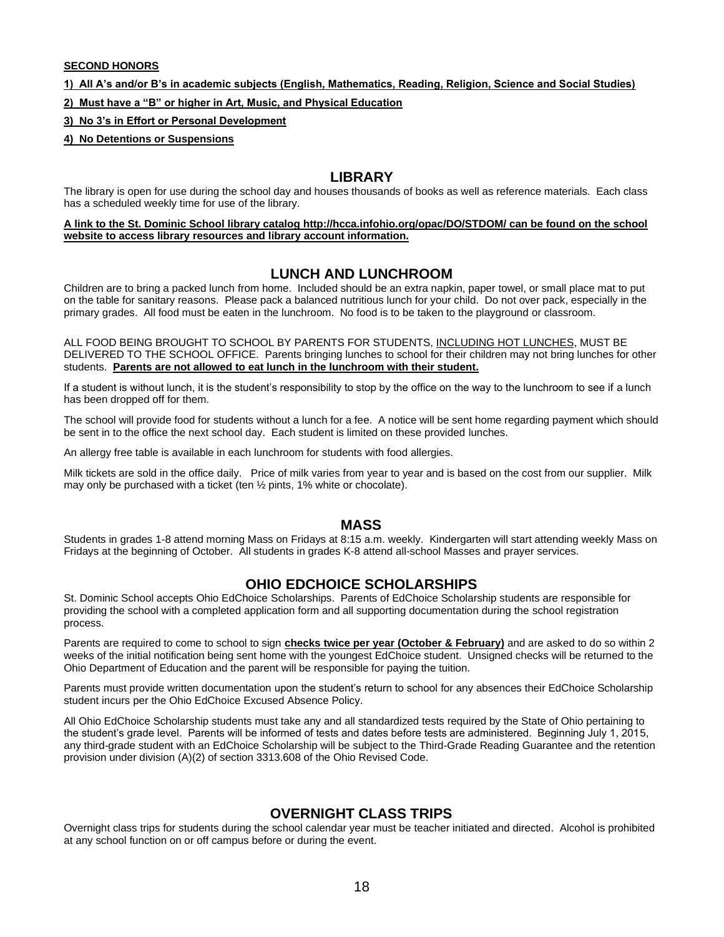#### **SECOND HONORS**

**1) All A's and/or B's in academic subjects (English, Mathematics, Reading, Religion, Science and Social Studies)**

**2) Must have a "B" or higher in Art, Music, and Physical Education**

### **3) No 3's in Effort or Personal Development**

**4) No Detentions or Suspensions**

### **LIBRARY**

The library is open for use during the school day and houses thousands of books as well as reference materials. Each class has a scheduled weekly time for use of the library.

**A link to the St. Dominic School library catalog http://hcca.infohio.org/opac/DO/STDOM/ can be found on the school website to access library resources and library account information.**

# **LUNCH AND LUNCHROOM**

Children are to bring a packed lunch from home. Included should be an extra napkin, paper towel, or small place mat to put on the table for sanitary reasons. Please pack a balanced nutritious lunch for your child. Do not over pack, especially in the primary grades. All food must be eaten in the lunchroom. No food is to be taken to the playground or classroom.

ALL FOOD BEING BROUGHT TO SCHOOL BY PARENTS FOR STUDENTS, INCLUDING HOT LUNCHES, MUST BE DELIVERED TO THE SCHOOL OFFICE. Parents bringing lunches to school for their children may not bring lunches for other students. **Parents are not allowed to eat lunch in the lunchroom with their student.**

If a student is without lunch, it is the student's responsibility to stop by the office on the way to the lunchroom to see if a lunch has been dropped off for them.

The school will provide food for students without a lunch for a fee. A notice will be sent home regarding payment which should be sent in to the office the next school day. Each student is limited on these provided lunches.

An allergy free table is available in each lunchroom for students with food allergies.

Milk tickets are sold in the office daily. Price of milk varies from year to year and is based on the cost from our supplier. Milk may only be purchased with a ticket (ten ½ pints, 1% white or chocolate).

### **MASS**

Students in grades 1-8 attend morning Mass on Fridays at 8:15 a.m. weekly. Kindergarten will start attending weekly Mass on Fridays at the beginning of October. All students in grades K-8 attend all-school Masses and prayer services.

# **OHIO EDCHOICE SCHOLARSHIPS**

St. Dominic School accepts Ohio EdChoice Scholarships. Parents of EdChoice Scholarship students are responsible for providing the school with a completed application form and all supporting documentation during the school registration process.

Parents are required to come to school to sign **checks twice per year (October & February)** and are asked to do so within 2 weeks of the initial notification being sent home with the youngest EdChoice student. Unsigned checks will be returned to the Ohio Department of Education and the parent will be responsible for paying the tuition.

Parents must provide written documentation upon the student's return to school for any absences their EdChoice Scholarship student incurs per the Ohio EdChoice Excused Absence Policy.

All Ohio EdChoice Scholarship students must take any and all standardized tests required by the State of Ohio pertaining to the student's grade level. Parents will be informed of tests and dates before tests are administered. Beginning July 1, 2015, any third-grade student with an EdChoice Scholarship will be subject to the Third-Grade Reading Guarantee and the retention provision under division (A)(2) of section 3313.608 of the Ohio Revised Code.

# **OVERNIGHT CLASS TRIPS**

Overnight class trips for students during the school calendar year must be teacher initiated and directed. Alcohol is prohibited at any school function on or off campus before or during the event.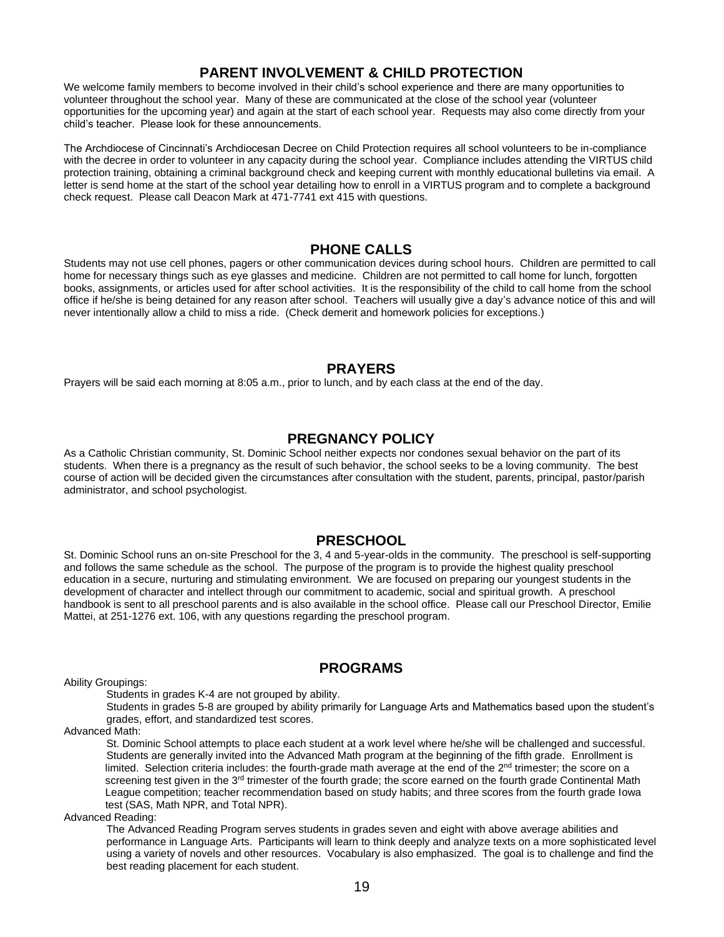# **PARENT INVOLVEMENT & CHILD PROTECTION**

We welcome family members to become involved in their child's school experience and there are many opportunities to volunteer throughout the school year. Many of these are communicated at the close of the school year (volunteer opportunities for the upcoming year) and again at the start of each school year. Requests may also come directly from your child's teacher. Please look for these announcements.

The Archdiocese of Cincinnati's Archdiocesan Decree on Child Protection requires all school volunteers to be in-compliance with the decree in order to volunteer in any capacity during the school year. Compliance includes attending the VIRTUS child protection training, obtaining a criminal background check and keeping current with monthly educational bulletins via email. A letter is send home at the start of the school year detailing how to enroll in a VIRTUS program and to complete a background check request. Please call Deacon Mark at 471-7741 ext 415 with questions.

### **PHONE CALLS**

Students may not use cell phones, pagers or other communication devices during school hours. Children are permitted to call home for necessary things such as eye glasses and medicine. Children are not permitted to call home for lunch, forgotten books, assignments, or articles used for after school activities. It is the responsibility of the child to call home from the school office if he/she is being detained for any reason after school. Teachers will usually give a day's advance notice of this and will never intentionally allow a child to miss a ride. (Check demerit and homework policies for exceptions.)

### **PRAYERS**

Prayers will be said each morning at 8:05 a.m., prior to lunch, and by each class at the end of the day.

# **PREGNANCY POLICY**

As a Catholic Christian community, St. Dominic School neither expects nor condones sexual behavior on the part of its students. When there is a pregnancy as the result of such behavior, the school seeks to be a loving community. The best course of action will be decided given the circumstances after consultation with the student, parents, principal, pastor/parish administrator, and school psychologist.

# **PRESCHOOL**

St. Dominic School runs an on-site Preschool for the 3, 4 and 5-year-olds in the community. The preschool is self-supporting and follows the same schedule as the school. The purpose of the program is to provide the highest quality preschool education in a secure, nurturing and stimulating environment. We are focused on preparing our youngest students in the development of character and intellect through our commitment to academic, social and spiritual growth. A preschool handbook is sent to all preschool parents and is also available in the school office. Please call our Preschool Director, Emilie Mattei, at 251-1276 ext. 106, with any questions regarding the preschool program.

Ability Groupings:

### **PROGRAMS**

Students in grades K-4 are not grouped by ability.

Students in grades 5-8 are grouped by ability primarily for Language Arts and Mathematics based upon the student's grades, effort, and standardized test scores.

Advanced Math:

St. Dominic School attempts to place each student at a work level where he/she will be challenged and successful. Students are generally invited into the Advanced Math program at the beginning of the fifth grade. Enrollment is limited. Selection criteria includes: the fourth-grade math average at the end of the  $2^{nd}$  trimester; the score on a screening test given in the 3<sup>rd</sup> trimester of the fourth grade; the score earned on the fourth grade Continental Math League competition; teacher recommendation based on study habits; and three scores from the fourth grade Iowa test (SAS, Math NPR, and Total NPR).

Advanced Reading:

The Advanced Reading Program serves students in grades seven and eight with above average abilities and performance in Language Arts. Participants will learn to think deeply and analyze texts on a more sophisticated level using a variety of novels and other resources. Vocabulary is also emphasized. The goal is to challenge and find the best reading placement for each student.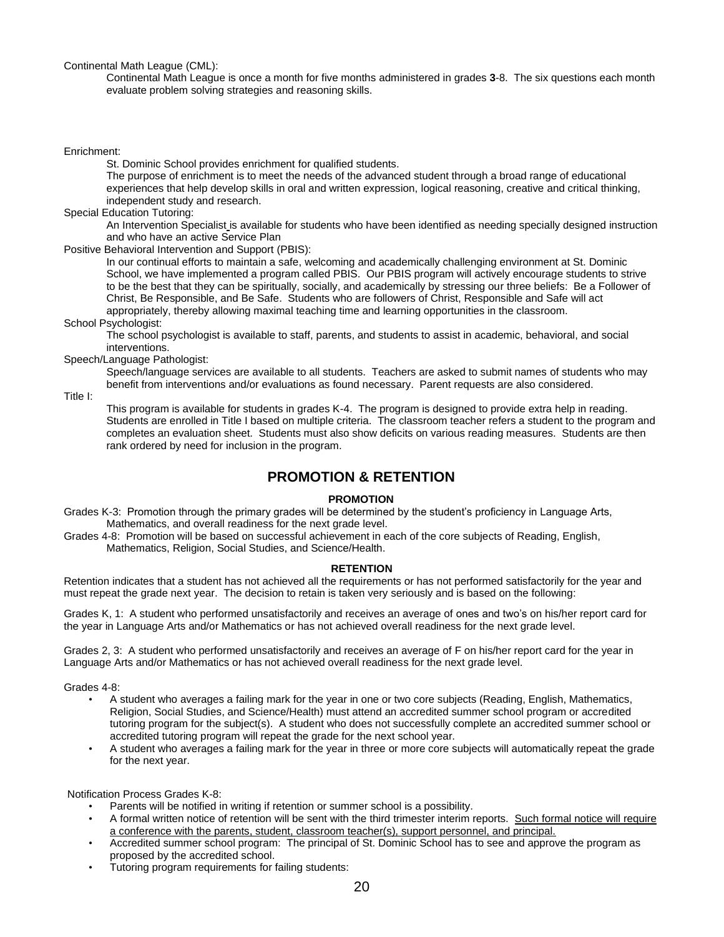Continental Math League (CML):

Continental Math League is once a month for five months administered in grades **3**-8. The six questions each month evaluate problem solving strategies and reasoning skills.

#### Enrichment:

St. Dominic School provides enrichment for qualified students.

The purpose of enrichment is to meet the needs of the advanced student through a broad range of educational experiences that help develop skills in oral and written expression, logical reasoning, creative and critical thinking, independent study and research.

Special Education Tutoring:

An Intervention Specialist is available for students who have been identified as needing specially designed instruction and who have an active Service Plan

Positive Behavioral Intervention and Support (PBIS):

In our continual efforts to maintain a safe, welcoming and academically challenging environment at St. Dominic School, we have implemented a program called PBIS. Our PBIS program will actively encourage students to strive to be the best that they can be spiritually, socially, and academically by stressing our three beliefs: Be a Follower of Christ, Be Responsible, and Be Safe. Students who are followers of Christ, Responsible and Safe will act appropriately, thereby allowing maximal teaching time and learning opportunities in the classroom.

School Psychologist:

The school psychologist is available to staff, parents, and students to assist in academic, behavioral, and social interventions.

### Speech/Language Pathologist:

Speech/language services are available to all students. Teachers are asked to submit names of students who may benefit from interventions and/or evaluations as found necessary. Parent requests are also considered.

Title I:

This program is available for students in grades K-4. The program is designed to provide extra help in reading. Students are enrolled in Title I based on multiple criteria. The classroom teacher refers a student to the program and completes an evaluation sheet. Students must also show deficits on various reading measures. Students are then rank ordered by need for inclusion in the program.

# **PROMOTION & RETENTION**

#### **PROMOTION**

Grades K-3: Promotion through the primary grades will be determined by the student's proficiency in Language Arts, Mathematics, and overall readiness for the next grade level.

Grades 4-8: Promotion will be based on successful achievement in each of the core subjects of Reading, English, Mathematics, Religion, Social Studies, and Science/Health.

#### **RETENTION**

Retention indicates that a student has not achieved all the requirements or has not performed satisfactorily for the year and must repeat the grade next year. The decision to retain is taken very seriously and is based on the following:

Grades K, 1: A student who performed unsatisfactorily and receives an average of ones and two's on his/her report card for the year in Language Arts and/or Mathematics or has not achieved overall readiness for the next grade level.

Grades 2, 3: A student who performed unsatisfactorily and receives an average of F on his/her report card for the year in Language Arts and/or Mathematics or has not achieved overall readiness for the next grade level.

Grades 4-8:

- A student who averages a failing mark for the year in one or two core subjects (Reading, English, Mathematics, Religion, Social Studies, and Science/Health) must attend an accredited summer school program or accredited tutoring program for the subject(s). A student who does not successfully complete an accredited summer school or accredited tutoring program will repeat the grade for the next school year.
- A student who averages a failing mark for the year in three or more core subjects will automatically repeat the grade for the next year.

Notification Process Grades K-8:

- Parents will be notified in writing if retention or summer school is a possibility.
- A formal written notice of retention will be sent with the third trimester interim reports. Such formal notice will require a conference with the parents, student, classroom teacher(s), support personnel, and principal.
- Accredited summer school program: The principal of St. Dominic School has to see and approve the program as proposed by the accredited school.
- Tutoring program requirements for failing students: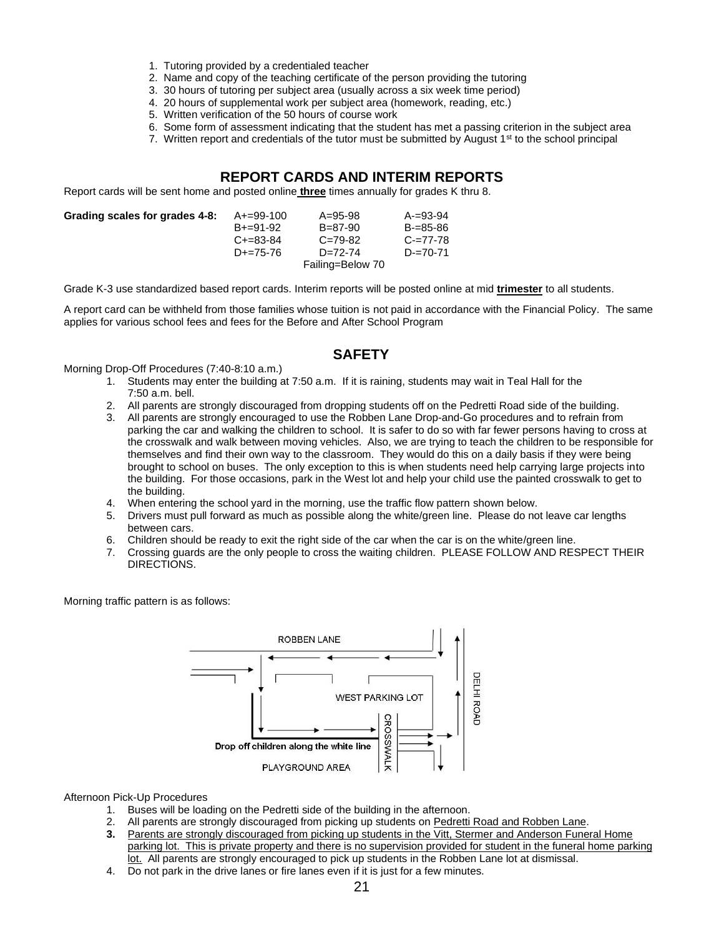- 1. Tutoring provided by a credentialed teacher
- 2. Name and copy of the teaching certificate of the person providing the tutoring
- 3. 30 hours of tutoring per subject area (usually across a six week time period)
- 4. 20 hours of supplemental work per subject area (homework, reading, etc.)
- 5. Written verification of the 50 hours of course work
- 6. Some form of assessment indicating that the student has met a passing criterion in the subject area
- 7. Written report and credentials of the tutor must be submitted by August  $1<sup>st</sup>$  to the school principal

### **REPORT CARDS AND INTERIM REPORTS**

Report cards will be sent home and posted online **three** times annually for grades K thru 8.

| Grading scales for grades 4-8: | A+=99-100<br>$B + = 91 - 92$<br>$C+=83-84$<br>$D+=75-76$ | $A = 95 - 98$<br>$B = 87 - 90$<br>$C = 79 - 82$<br>$D=72-74$<br>Failing=Below 70 | $A = 93-94$<br>$B = 85 - 86$<br>$C = 77 - 78$<br>$D = 70 - 71$ |
|--------------------------------|----------------------------------------------------------|----------------------------------------------------------------------------------|----------------------------------------------------------------|
|                                |                                                          |                                                                                  |                                                                |

Grade K-3 use standardized based report cards. Interim reports will be posted online at mid **trimester** to all students.

A report card can be withheld from those families whose tuition is not paid in accordance with the Financial Policy. The same applies for various school fees and fees for the Before and After School Program

# **SAFETY**

Morning Drop-Off Procedures (7:40-8:10 a.m.)

- 1. Students may enter the building at 7:50 a.m. If it is raining, students may wait in Teal Hall for the 7:50 a.m. bell.
- 2. All parents are strongly discouraged from dropping students off on the Pedretti Road side of the building.
- 3. All parents are strongly encouraged to use the Robben Lane Drop-and-Go procedures and to refrain from parking the car and walking the children to school. It is safer to do so with far fewer persons having to cross at the crosswalk and walk between moving vehicles. Also, we are trying to teach the children to be responsible for themselves and find their own way to the classroom. They would do this on a daily basis if they were being brought to school on buses. The only exception to this is when students need help carrying large projects into the building. For those occasions, park in the West lot and help your child use the painted crosswalk to get to the building.
- 4. When entering the school yard in the morning, use the traffic flow pattern shown below.
- 5. Drivers must pull forward as much as possible along the white/green line. Please do not leave car lengths between cars.
- 6. Children should be ready to exit the right side of the car when the car is on the white/green line.
- 7. Crossing guards are the only people to cross the waiting children. PLEASE FOLLOW AND RESPECT THEIR DIRECTIONS.

Morning traffic pattern is as follows:



Afternoon Pick-Up Procedures

- 1. Buses will be loading on the Pedretti side of the building in the afternoon.
- 2. All parents are strongly discouraged from picking up students on Pedretti Road and Robben Lane.
- **3.** Parents are strongly discouraged from picking up students in the Vitt, Stermer and Anderson Funeral Home parking lot. This is private property and there is no supervision provided for student in the funeral home parking lot.All parents are strongly encouraged to pick up students in the Robben Lane lot at dismissal.
- 4. Do not park in the drive lanes or fire lanes even if it is just for a few minutes.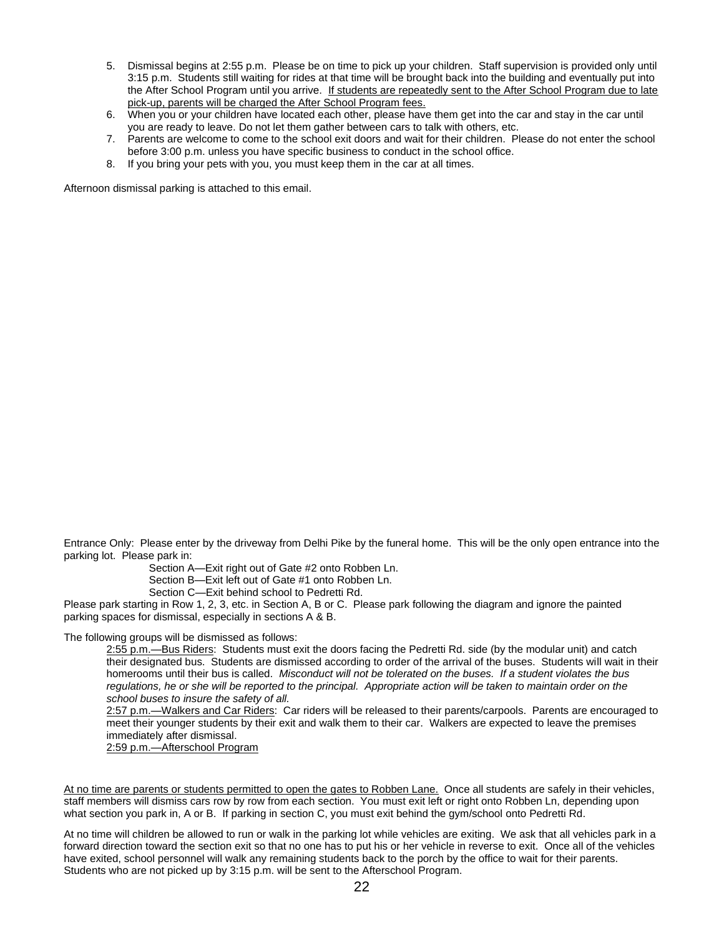- 5. Dismissal begins at 2:55 p.m. Please be on time to pick up your children. Staff supervision is provided only until 3:15 p.m. Students still waiting for rides at that time will be brought back into the building and eventually put into the After School Program until you arrive. If students are repeatedly sent to the After School Program due to late pick-up, parents will be charged the After School Program fees.
- 6. When you or your children have located each other, please have them get into the car and stay in the car until you are ready to leave. Do not let them gather between cars to talk with others, etc.
- 7. Parents are welcome to come to the school exit doors and wait for their children. Please do not enter the school before 3:00 p.m. unless you have specific business to conduct in the school office.
- 8. If you bring your pets with you, you must keep them in the car at all times.

Afternoon dismissal parking is attached to this email.

Entrance Only: Please enter by the driveway from Delhi Pike by the funeral home. This will be the only open entrance into the parking lot. Please park in:

Section A—Exit right out of Gate #2 onto Robben Ln.

Section B—Exit left out of Gate #1 onto Robben Ln.

Section C—Exit behind school to Pedretti Rd.

Please park starting in Row 1, 2, 3, etc. in Section A, B or C. Please park following the diagram and ignore the painted parking spaces for dismissal, especially in sections A & B.

The following groups will be dismissed as follows:

2:55 p.m.—Bus Riders: Students must exit the doors facing the Pedretti Rd. side (by the modular unit) and catch their designated bus. Students are dismissed according to order of the arrival of the buses. Students will wait in their homerooms until their bus is called. *Misconduct will not be tolerated on the buses. If a student violates the bus regulations, he or she will be reported to the principal. Appropriate action will be taken to maintain order on the school buses to insure the safety of all.*

2:57 p.m.—Walkers and Car Riders: Car riders will be released to their parents/carpools. Parents are encouraged to meet their younger students by their exit and walk them to their car. Walkers are expected to leave the premises immediately after dismissal.

2:59 p.m.—Afterschool Program

At no time are parents or students permitted to open the gates to Robben Lane. Once all students are safely in their vehicles, staff members will dismiss cars row by row from each section. You must exit left or right onto Robben Ln, depending upon what section you park in, A or B. If parking in section C, you must exit behind the gym/school onto Pedretti Rd.

At no time will children be allowed to run or walk in the parking lot while vehicles are exiting. We ask that all vehicles park in a forward direction toward the section exit so that no one has to put his or her vehicle in reverse to exit. Once all of the vehicles have exited, school personnel will walk any remaining students back to the porch by the office to wait for their parents. Students who are not picked up by 3:15 p.m. will be sent to the Afterschool Program.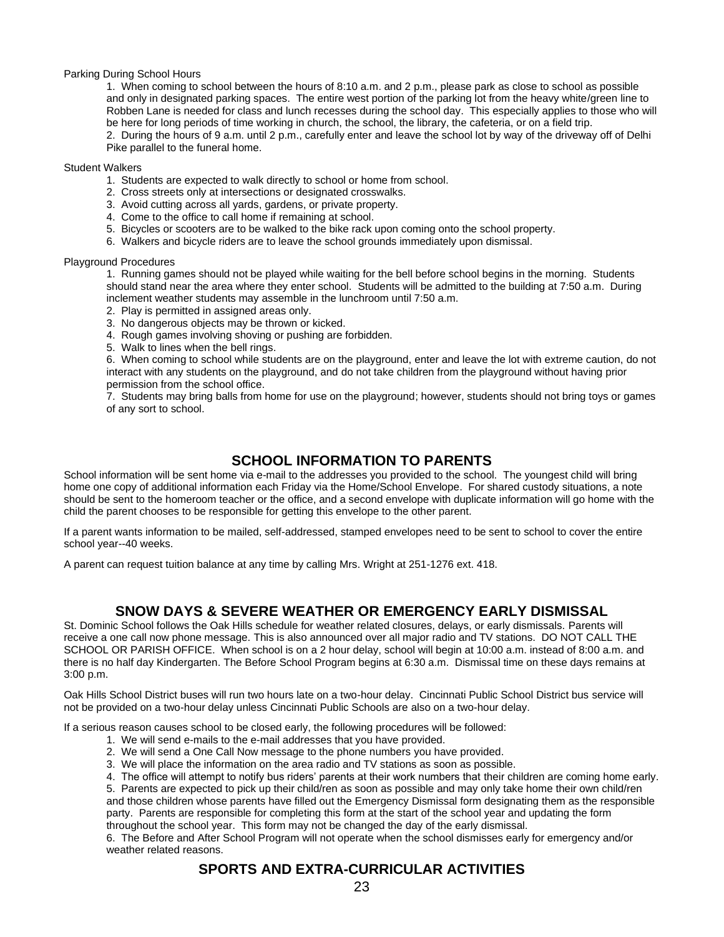#### Parking During School Hours

1. When coming to school between the hours of 8:10 a.m. and 2 p.m., please park as close to school as possible and only in designated parking spaces. The entire west portion of the parking lot from the heavy white/green line to Robben Lane is needed for class and lunch recesses during the school day. This especially applies to those who will be here for long periods of time working in church, the school, the library, the cafeteria, or on a field trip. 2. During the hours of 9 a.m. until 2 p.m., carefully enter and leave the school lot by way of the driveway off of Delhi Pike parallel to the funeral home.

#### Student Walkers

- 1. Students are expected to walk directly to school or home from school.
- 2. Cross streets only at intersections or designated crosswalks.
- 3. Avoid cutting across all yards, gardens, or private property.
- 4. Come to the office to call home if remaining at school.
- 5. Bicycles or scooters are to be walked to the bike rack upon coming onto the school property.
- 6. Walkers and bicycle riders are to leave the school grounds immediately upon dismissal.

#### Playground Procedures

1. Running games should not be played while waiting for the bell before school begins in the morning. Students should stand near the area where they enter school. Students will be admitted to the building at 7:50 a.m. During inclement weather students may assemble in the lunchroom until 7:50 a.m.

- 2. Play is permitted in assigned areas only.
- 3. No dangerous objects may be thrown or kicked.
- 4. Rough games involving shoving or pushing are forbidden.
- 5. Walk to lines when the bell rings.

6. When coming to school while students are on the playground, enter and leave the lot with extreme caution, do not interact with any students on the playground, and do not take children from the playground without having prior permission from the school office.

7. Students may bring balls from home for use on the playground; however, students should not bring toys or games of any sort to school.

# **SCHOOL INFORMATION TO PARENTS**

School information will be sent home via e-mail to the addresses you provided to the school. The youngest child will bring home one copy of additional information each Friday via the Home/School Envelope. For shared custody situations, a note should be sent to the homeroom teacher or the office, and a second envelope with duplicate information will go home with the child the parent chooses to be responsible for getting this envelope to the other parent.

If a parent wants information to be mailed, self-addressed, stamped envelopes need to be sent to school to cover the entire school year--40 weeks.

A parent can request tuition balance at any time by calling Mrs. Wright at 251-1276 ext. 418.

### **SNOW DAYS & SEVERE WEATHER OR EMERGENCY EARLY DISMISSAL**

St. Dominic School follows the Oak Hills schedule for weather related closures, delays, or early dismissals. Parents will receive a one call now phone message. This is also announced over all major radio and TV stations. DO NOT CALL THE SCHOOL OR PARISH OFFICE. When school is on a 2 hour delay, school will begin at 10:00 a.m. instead of 8:00 a.m. and there is no half day Kindergarten. The Before School Program begins at 6:30 a.m. Dismissal time on these days remains at 3:00 p.m.

Oak Hills School District buses will run two hours late on a two-hour delay. Cincinnati Public School District bus service will not be provided on a two-hour delay unless Cincinnati Public Schools are also on a two-hour delay.

If a serious reason causes school to be closed early, the following procedures will be followed:

- 1. We will send e-mails to the e-mail addresses that you have provided.
- 2.We will send a One Call Now message to the phone numbers you have provided.
- 3. We will place the information on the area radio and TV stations as soon as possible.
- 4. The office will attempt to notify bus riders' parents at their work numbers that their children are coming home early.

5. Parents are expected to pick up their child/ren as soon as possible and may only take home their own child/ren and those children whose parents have filled out the Emergency Dismissal form designating them as the responsible party. Parents are responsible for completing this form at the start of the school year and updating the form throughout the school year. This form may not be changed the day of the early dismissal.

6. The Before and After School Program will not operate when the school dismisses early for emergency and/or weather related reasons.

# **SPORTS AND EXTRA-CURRICULAR ACTIVITIES**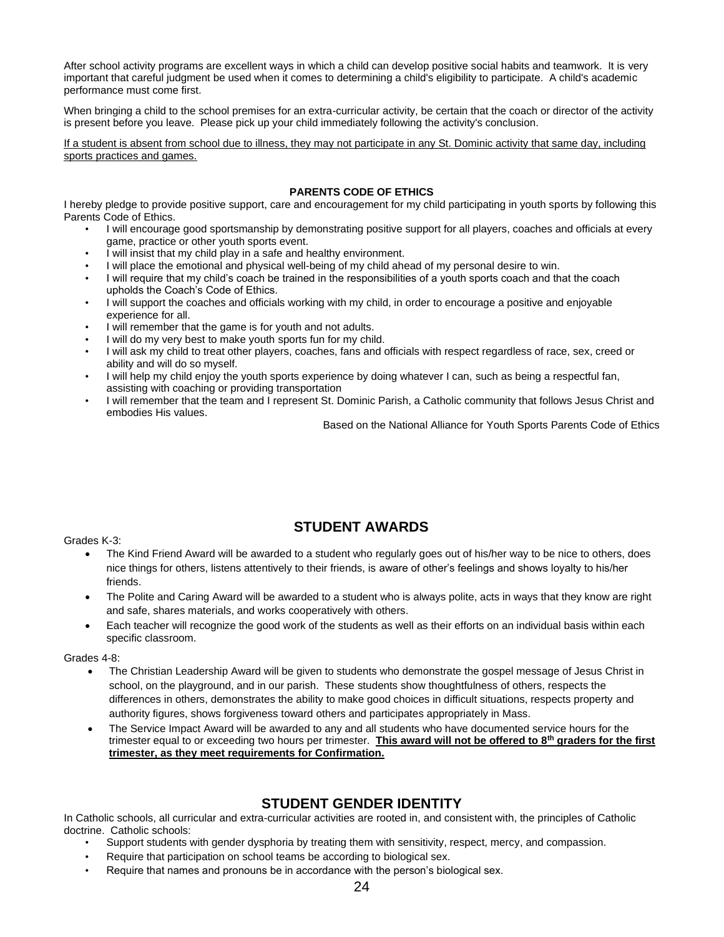After school activity programs are excellent ways in which a child can develop positive social habits and teamwork. It is very important that careful judgment be used when it comes to determining a child's eligibility to participate. A child's academic performance must come first.

When bringing a child to the school premises for an extra-curricular activity, be certain that the coach or director of the activity is present before you leave. Please pick up your child immediately following the activity's conclusion.

If a student is absent from school due to illness, they may not participate in any St. Dominic activity that same day, including sports practices and games.

### **PARENTS CODE OF ETHICS**

I hereby pledge to provide positive support, care and encouragement for my child participating in youth sports by following this Parents Code of Ethics.

- I will encourage good sportsmanship by demonstrating positive support for all players, coaches and officials at every game, practice or other youth sports event.
- I will insist that my child play in a safe and healthy environment.
- I will place the emotional and physical well-being of my child ahead of my personal desire to win.
- I will require that my child's coach be trained in the responsibilities of a youth sports coach and that the coach upholds the Coach's Code of Ethics.
- I will support the coaches and officials working with my child, in order to encourage a positive and enjoyable experience for all.
- I will remember that the game is for youth and not adults.
- I will do my very best to make youth sports fun for my child.
- I will ask my child to treat other players, coaches, fans and officials with respect regardless of race, sex, creed or ability and will do so myself.
- I will help my child enjoy the youth sports experience by doing whatever I can, such as being a respectful fan, assisting with coaching or providing transportation
- I will remember that the team and I represent St. Dominic Parish, a Catholic community that follows Jesus Christ and embodies His values.

Based on the National Alliance for Youth Sports Parents Code of Ethics

#### Grades K-3:

• The Kind Friend Award will be awarded to a student who regularly goes out of his/her way to be nice to others, does nice things for others, listens attentively to their friends, is aware of other's feelings and shows loyalty to his/her friends.

**STUDENT AWARDS**

- The Polite and Caring Award will be awarded to a student who is always polite, acts in ways that they know are right and safe, shares materials, and works cooperatively with others.
- Each teacher will recognize the good work of the students as well as their efforts on an individual basis within each specific classroom.

#### Grades 4-8:

- The Christian Leadership Award will be given to students who demonstrate the gospel message of Jesus Christ in school, on the playground, and in our parish. These students show thoughtfulness of others, respects the differences in others, demonstrates the ability to make good choices in difficult situations, respects property and authority figures, shows forgiveness toward others and participates appropriately in Mass.
- The Service Impact Award will be awarded to any and all students who have documented service hours for the trimester equal to or exceeding two hours per trimester. **This award will not be offered to 8th graders for the first trimester, as they meet requirements for Confirmation.**

# **STUDENT GENDER IDENTITY**

In Catholic schools, all curricular and extra-curricular activities are rooted in, and consistent with, the principles of Catholic doctrine. Catholic schools:

- Support students with gender dysphoria by treating them with sensitivity, respect, mercy, and compassion.
- Require that participation on school teams be according to biological sex.
- Require that names and pronouns be in accordance with the person's biological sex.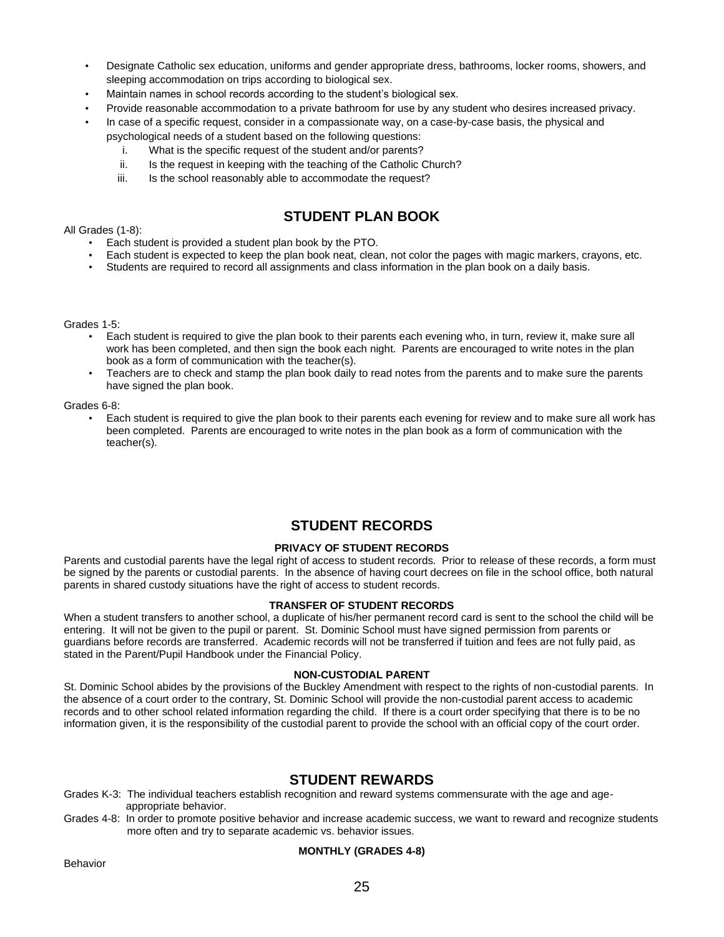- Designate Catholic sex education, uniforms and gender appropriate dress, bathrooms, locker rooms, showers, and sleeping accommodation on trips according to biological sex.
- Maintain names in school records according to the student's biological sex.
- Provide reasonable accommodation to a private bathroom for use by any student who desires increased privacy.
- In case of a specific request, consider in a compassionate way, on a case-by-case basis, the physical and
	- psychological needs of a student based on the following questions:
		- i. What is the specific request of the student and/or parents?
		- ii. Is the request in keeping with the teaching of the Catholic Church?
		- iii. Is the school reasonably able to accommodate the request?

# **STUDENT PLAN BOOK**

All Grades (1-8):

- Each student is provided a student plan book by the PTO.
- Each student is expected to keep the plan book neat, clean, not color the pages with magic markers, crayons, etc.
- Students are required to record all assignments and class information in the plan book on a daily basis.

Grades 1-5:

- Each student is required to give the plan book to their parents each evening who, in turn, review it, make sure all work has been completed, and then sign the book each night. Parents are encouraged to write notes in the plan book as a form of communication with the teacher(s).
- Teachers are to check and stamp the plan book daily to read notes from the parents and to make sure the parents have signed the plan book.

Grades 6-8:

• Each student is required to give the plan book to their parents each evening for review and to make sure all work has been completed. Parents are encouraged to write notes in the plan book as a form of communication with the teacher(s).

# **STUDENT RECORDS**

#### **PRIVACY OF STUDENT RECORDS**

Parents and custodial parents have the legal right of access to student records. Prior to release of these records, a form must be signed by the parents or custodial parents. In the absence of having court decrees on file in the school office, both natural parents in shared custody situations have the right of access to student records.

#### **TRANSFER OF STUDENT RECORDS**

When a student transfers to another school, a duplicate of his/her permanent record card is sent to the school the child will be entering. It will not be given to the pupil or parent. St. Dominic School must have signed permission from parents or guardians before records are transferred. Academic records will not be transferred if tuition and fees are not fully paid, as stated in the Parent/Pupil Handbook under the Financial Policy.

#### **NON-CUSTODIAL PARENT**

St. Dominic School abides by the provisions of the Buckley Amendment with respect to the rights of non-custodial parents. In the absence of a court order to the contrary, St. Dominic School will provide the non-custodial parent access to academic records and to other school related information regarding the child. If there is a court order specifying that there is to be no information given, it is the responsibility of the custodial parent to provide the school with an official copy of the court order.

### **STUDENT REWARDS**

Grades K-3: The individual teachers establish recognition and reward systems commensurate with the age and age appropriate behavior.

Grades 4-8: In order to promote positive behavior and increase academic success, we want to reward and recognize students more often and try to separate academic vs. behavior issues.

#### **MONTHLY (GRADES 4-8)**

Behavior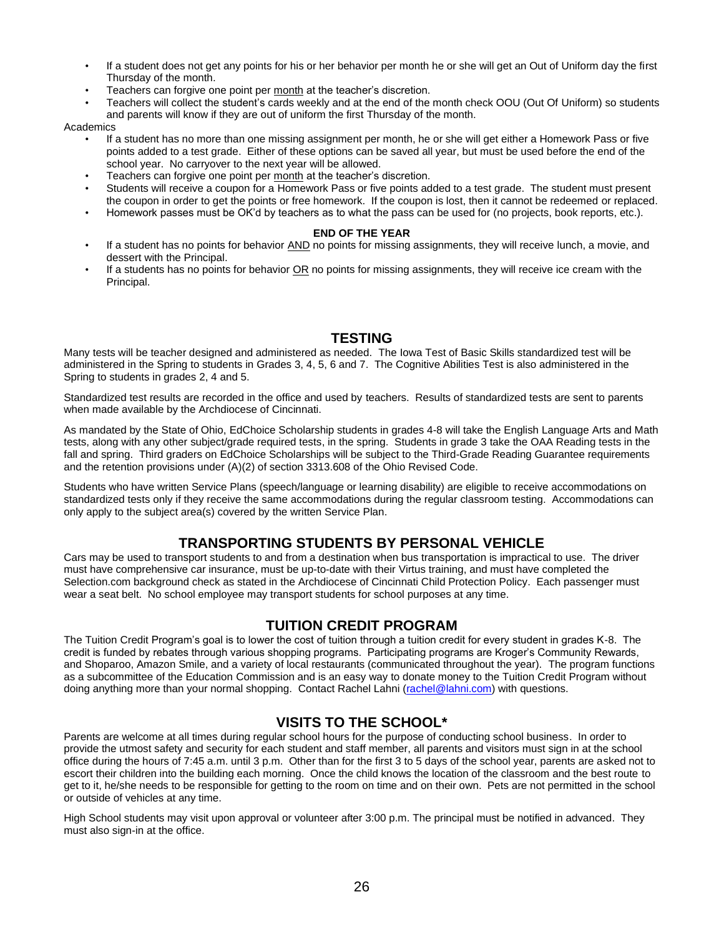- If a student does not get any points for his or her behavior per month he or she will get an Out of Uniform day the first Thursday of the month.
- Teachers can forgive one point per month at the teacher's discretion.
- Teachers will collect the student's cards weekly and at the end of the month check OOU (Out Of Uniform) so students and parents will know if they are out of uniform the first Thursday of the month.

**Academics** 

- If a student has no more than one missing assignment per month, he or she will get either a Homework Pass or five points added to a test grade. Either of these options can be saved all year, but must be used before the end of the school year. No carryover to the next year will be allowed.
- Teachers can forgive one point per month at the teacher's discretion.
- Students will receive a coupon for a Homework Pass or five points added to a test grade. The student must present the coupon in order to get the points or free homework. If the coupon is lost, then it cannot be redeemed or replaced.
- Homework passes must be OK'd by teachers as to what the pass can be used for (no projects, book reports, etc.).

#### **END OF THE YEAR**

- If a student has no points for behavior AND no points for missing assignments, they will receive lunch, a movie, and dessert with the Principal.
- If a students has no points for behavior OR no points for missing assignments, they will receive ice cream with the Principal.

# **TESTING**

Many tests will be teacher designed and administered as needed. The Iowa Test of Basic Skills standardized test will be administered in the Spring to students in Grades 3, 4, 5, 6 and 7. The Cognitive Abilities Test is also administered in the Spring to students in grades 2, 4 and 5.

Standardized test results are recorded in the office and used by teachers. Results of standardized tests are sent to parents when made available by the Archdiocese of Cincinnati.

As mandated by the State of Ohio, EdChoice Scholarship students in grades 4-8 will take the English Language Arts and Math tests, along with any other subject/grade required tests, in the spring. Students in grade 3 take the OAA Reading tests in the fall and spring. Third graders on EdChoice Scholarships will be subject to the Third-Grade Reading Guarantee requirements and the retention provisions under (A)(2) of section 3313.608 of the Ohio Revised Code.

Students who have written Service Plans (speech/language or learning disability) are eligible to receive accommodations on standardized tests only if they receive the same accommodations during the regular classroom testing. Accommodations can only apply to the subject area(s) covered by the written Service Plan.

### **TRANSPORTING STUDENTS BY PERSONAL VEHICLE**

Cars may be used to transport students to and from a destination when bus transportation is impractical to use. The driver must have comprehensive car insurance, must be up-to-date with their Virtus training, and must have completed the Selection.com background check as stated in the Archdiocese of Cincinnati Child Protection Policy. Each passenger must wear a seat belt. No school employee may transport students for school purposes at any time.

### **TUITION CREDIT PROGRAM**

The Tuition Credit Program's goal is to lower the cost of tuition through a tuition credit for every student in grades K-8. The credit is funded by rebates through various shopping programs. Participating programs are Kroger's Community Rewards, and Shoparoo, Amazon Smile, and a variety of local restaurants (communicated throughout the year). The program functions as a subcommittee of the Education Commission and is an easy way to donate money to the Tuition Credit Program without doing anything more than your normal shopping. Contact Rachel Lahni [\(rachel@lahni.com\)](mailto:rachel@lahni.com) with questions.

# **VISITS TO THE SCHOOL\***

Parents are welcome at all times during regular school hours for the purpose of conducting school business. In order to provide the utmost safety and security for each student and staff member, all parents and visitors must sign in at the school office during the hours of 7:45 a.m. until 3 p.m. Other than for the first 3 to 5 days of the school year, parents are asked not to escort their children into the building each morning. Once the child knows the location of the classroom and the best route to get to it, he/she needs to be responsible for getting to the room on time and on their own. Pets are not permitted in the school or outside of vehicles at any time.

High School students may visit upon approval or volunteer after 3:00 p.m. The principal must be notified in advanced. They must also sign-in at the office.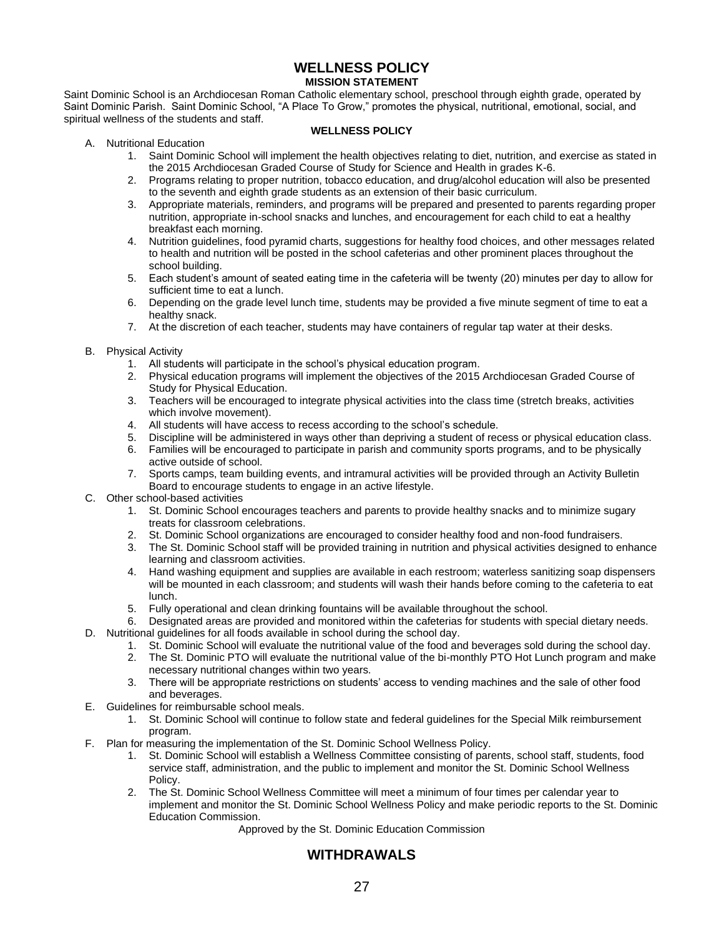### **WELLNESS POLICY MISSION STATEMENT**

Saint Dominic School is an Archdiocesan Roman Catholic elementary school, preschool through eighth grade, operated by Saint Dominic Parish. Saint Dominic School, "A Place To Grow," promotes the physical, nutritional, emotional, social, and spiritual wellness of the students and staff.

#### **WELLNESS POLICY**

- A. Nutritional Education
	- 1. Saint Dominic School will implement the health objectives relating to diet, nutrition, and exercise as stated in the 2015 Archdiocesan Graded Course of Study for Science and Health in grades K-6.
	- 2. Programs relating to proper nutrition, tobacco education, and drug/alcohol education will also be presented to the seventh and eighth grade students as an extension of their basic curriculum.
	- 3. Appropriate materials, reminders, and programs will be prepared and presented to parents regarding proper nutrition, appropriate in-school snacks and lunches, and encouragement for each child to eat a healthy breakfast each morning.
	- 4. Nutrition guidelines, food pyramid charts, suggestions for healthy food choices, and other messages related to health and nutrition will be posted in the school cafeterias and other prominent places throughout the school building.
	- 5. Each student's amount of seated eating time in the cafeteria will be twenty (20) minutes per day to allow for sufficient time to eat a lunch.
	- 6. Depending on the grade level lunch time, students may be provided a five minute segment of time to eat a healthy snack.
	- 7. At the discretion of each teacher, students may have containers of regular tap water at their desks.
- B. Physical Activity
	- 1. All students will participate in the school's physical education program.
	- 2. Physical education programs will implement the objectives of the 2015 Archdiocesan Graded Course of Study for Physical Education.
	- 3. Teachers will be encouraged to integrate physical activities into the class time (stretch breaks, activities which involve movement).
	- 4. All students will have access to recess according to the school's schedule.
	- 5. Discipline will be administered in ways other than depriving a student of recess or physical education class.
	- 6. Families will be encouraged to participate in parish and community sports programs, and to be physically active outside of school.
	- 7. Sports camps, team building events, and intramural activities will be provided through an Activity Bulletin Board to encourage students to engage in an active lifestyle.
- C. Other school-based activities
	- 1. St. Dominic School encourages teachers and parents to provide healthy snacks and to minimize sugary treats for classroom celebrations.
	- 2. St. Dominic School organizations are encouraged to consider healthy food and non-food fundraisers.
	- 3. The St. Dominic School staff will be provided training in nutrition and physical activities designed to enhance learning and classroom activities.
	- 4. Hand washing equipment and supplies are available in each restroom; waterless sanitizing soap dispensers will be mounted in each classroom; and students will wash their hands before coming to the cafeteria to eat lunch.
	- 5. Fully operational and clean drinking fountains will be available throughout the school.
- 6. Designated areas are provided and monitored within the cafeterias for students with special dietary needs. D. Nutritional guidelines for all foods available in school during the school day.
	- 1. St. Dominic School will evaluate the nutritional value of the food and beverages sold during the school day.
	- 2. The St. Dominic PTO will evaluate the nutritional value of the bi-monthly PTO Hot Lunch program and make necessary nutritional changes within two years.
	- 3. There will be appropriate restrictions on students' access to vending machines and the sale of other food and beverages.
- E. Guidelines for reimbursable school meals.
	- 1. St. Dominic School will continue to follow state and federal guidelines for the Special Milk reimbursement program.
- F. Plan for measuring the implementation of the St. Dominic School Wellness Policy.
	- 1. St. Dominic School will establish a Wellness Committee consisting of parents, school staff, students, food service staff, administration, and the public to implement and monitor the St. Dominic School Wellness Policy.
	- 2. The St. Dominic School Wellness Committee will meet a minimum of four times per calendar year to implement and monitor the St. Dominic School Wellness Policy and make periodic reports to the St. Dominic Education Commission.

Approved by the St. Dominic Education Commission

# **WITHDRAWALS**